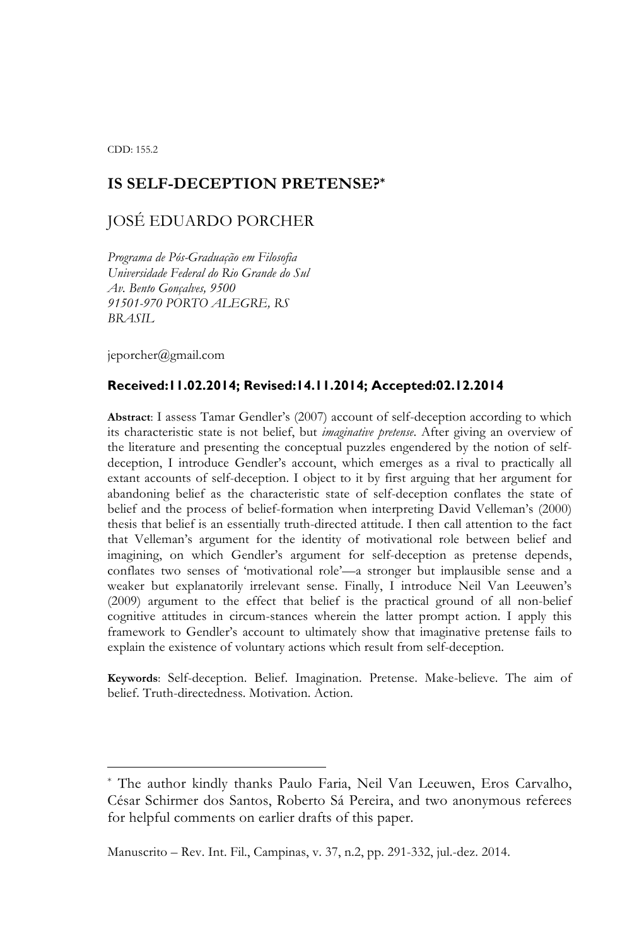CDD: 155.2

# **IS SELF-DECEPTION PRETENSE?\***

# JOSÉ EDUARDO PORCHER

*Programa de Pós-Graduação em Filosofia Universidade Federal do Rio Grande do Sul Av. Bento Gonçalves, 9500 91501-970 PORTO ALEGRE, RS BRASIL*

 

jeporcher@gmail.com

#### **Received:11.02.2014; Revised:14.11.2014; Accepted:02.12.2014**

**Abstract**: I assess Tamar Gendler's (2007) account of self-deception according to which its characteristic state is not belief, but *imaginative pretense*. After giving an overview of the literature and presenting the conceptual puzzles engendered by the notion of selfdeception, I introduce Gendler's account, which emerges as a rival to practically all extant accounts of self-deception. I object to it by first arguing that her argument for abandoning belief as the characteristic state of self-deception conflates the state of belief and the process of belief-formation when interpreting David Velleman's (2000) thesis that belief is an essentially truth-directed attitude. I then call attention to the fact that Velleman's argument for the identity of motivational role between belief and imagining, on which Gendler's argument for self-deception as pretense depends, conflates two senses of 'motivational role'—a stronger but implausible sense and a weaker but explanatorily irrelevant sense. Finally, I introduce Neil Van Leeuwen's (2009) argument to the effect that belief is the practical ground of all non-belief cognitive attitudes in circum-stances wherein the latter prompt action. I apply this framework to Gendler's account to ultimately show that imaginative pretense fails to explain the existence of voluntary actions which result from self-deception.

**Keywords**: Self-deception. Belief. Imagination. Pretense. Make-believe. The aim of belief. Truth-directedness. Motivation. Action.

<sup>\*</sup> The author kindly thanks Paulo Faria, Neil Van Leeuwen, Eros Carvalho, César Schirmer dos Santos, Roberto Sá Pereira, and two anonymous referees for helpful comments on earlier drafts of this paper.

Manuscrito – Rev. Int. Fil., Campinas, v. 37, n.2, pp. 291-332, jul.-dez. 2014.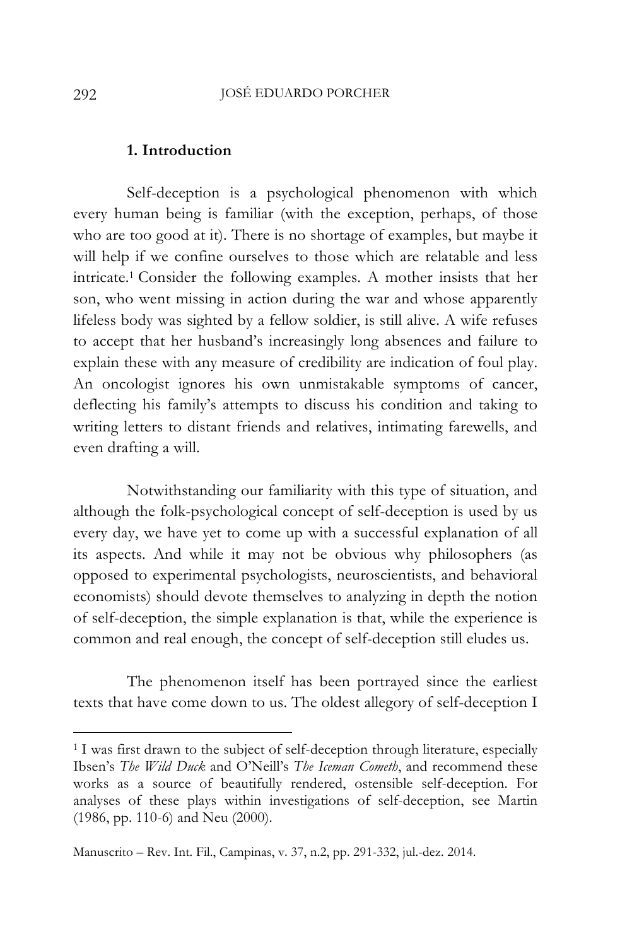### **1. Introduction**

Self-deception is a psychological phenomenon with which every human being is familiar (with the exception, perhaps, of those who are too good at it). There is no shortage of examples, but maybe it will help if we confine ourselves to those which are relatable and less intricate.1 Consider the following examples. A mother insists that her son, who went missing in action during the war and whose apparently lifeless body was sighted by a fellow soldier, is still alive. A wife refuses to accept that her husband's increasingly long absences and failure to explain these with any measure of credibility are indication of foul play. An oncologist ignores his own unmistakable symptoms of cancer, deflecting his family's attempts to discuss his condition and taking to writing letters to distant friends and relatives, intimating farewells, and even drafting a will.

Notwithstanding our familiarity with this type of situation, and although the folk-psychological concept of self-deception is used by us every day, we have yet to come up with a successful explanation of all its aspects. And while it may not be obvious why philosophers (as opposed to experimental psychologists, neuroscientists, and behavioral economists) should devote themselves to analyzing in depth the notion of self-deception, the simple explanation is that, while the experience is common and real enough, the concept of self-deception still eludes us.

The phenomenon itself has been portrayed since the earliest texts that have come down to us. The oldest allegory of self-deception I

<sup>&</sup>lt;sup>1</sup> I was first drawn to the subject of self-deception through literature, especially Ibsen's *The Wild Duck* and O'Neill's *The Iceman Cometh*, and recommend these works as a source of beautifully rendered, ostensible self-deception. For analyses of these plays within investigations of self-deception, see Martin (1986, pp. 110-6) and Neu (2000).

Manuscrito – Rev. Int. Fil., Campinas, v. 37, n.2, pp. 291-332, jul.-dez. 2014.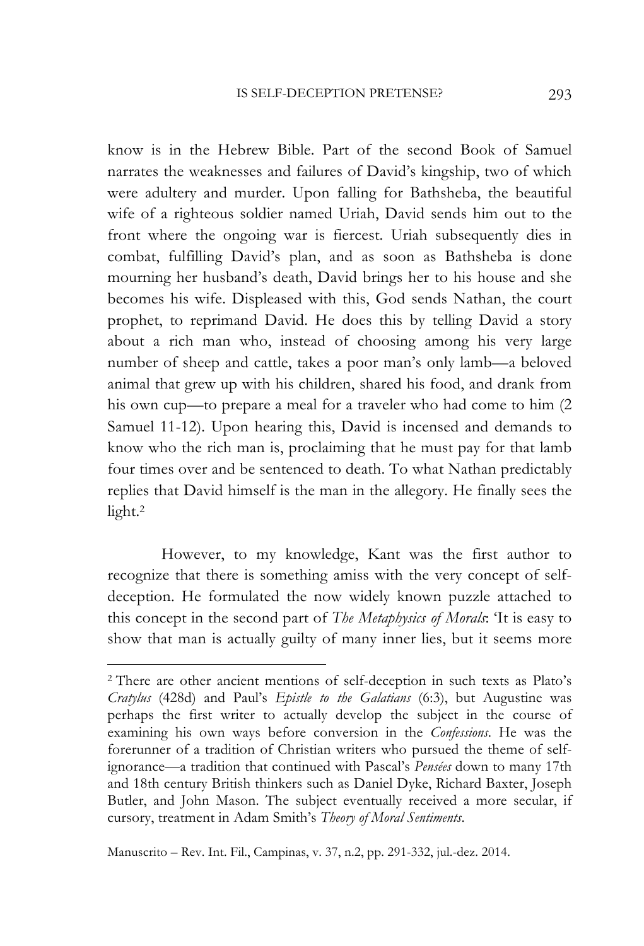know is in the Hebrew Bible. Part of the second Book of Samuel narrates the weaknesses and failures of David's kingship, two of which were adultery and murder. Upon falling for Bathsheba, the beautiful wife of a righteous soldier named Uriah, David sends him out to the front where the ongoing war is fiercest. Uriah subsequently dies in combat, fulfilling David's plan, and as soon as Bathsheba is done mourning her husband's death, David brings her to his house and she becomes his wife. Displeased with this, God sends Nathan, the court prophet, to reprimand David. He does this by telling David a story about a rich man who, instead of choosing among his very large number of sheep and cattle, takes a poor man's only lamb—a beloved animal that grew up with his children, shared his food, and drank from his own cup—to prepare a meal for a traveler who had come to him  $(2)$ Samuel 11-12). Upon hearing this, David is incensed and demands to know who the rich man is, proclaiming that he must pay for that lamb four times over and be sentenced to death. To what Nathan predictably replies that David himself is the man in the allegory. He finally sees the light.2

However, to my knowledge, Kant was the first author to recognize that there is something amiss with the very concept of selfdeception. He formulated the now widely known puzzle attached to this concept in the second part of *The Metaphysics of Morals*: 'It is easy to show that man is actually guilty of many inner lies, but it seems more

<sup>2</sup> There are other ancient mentions of self-deception in such texts as Plato's *Cratylus* (428d) and Paul's *Epistle to the Galatians* (6:3), but Augustine was perhaps the first writer to actually develop the subject in the course of examining his own ways before conversion in the *Confessions*. He was the forerunner of a tradition of Christian writers who pursued the theme of selfignorance—a tradition that continued with Pascal's *Pensées* down to many 17th and 18th century British thinkers such as Daniel Dyke, Richard Baxter, Joseph Butler, and John Mason. The subject eventually received a more secular, if cursory, treatment in Adam Smith's *Theory of Moral Sentiments*.

Manuscrito – Rev. Int. Fil., Campinas, v. 37, n.2, pp. 291-332, jul.-dez. 2014.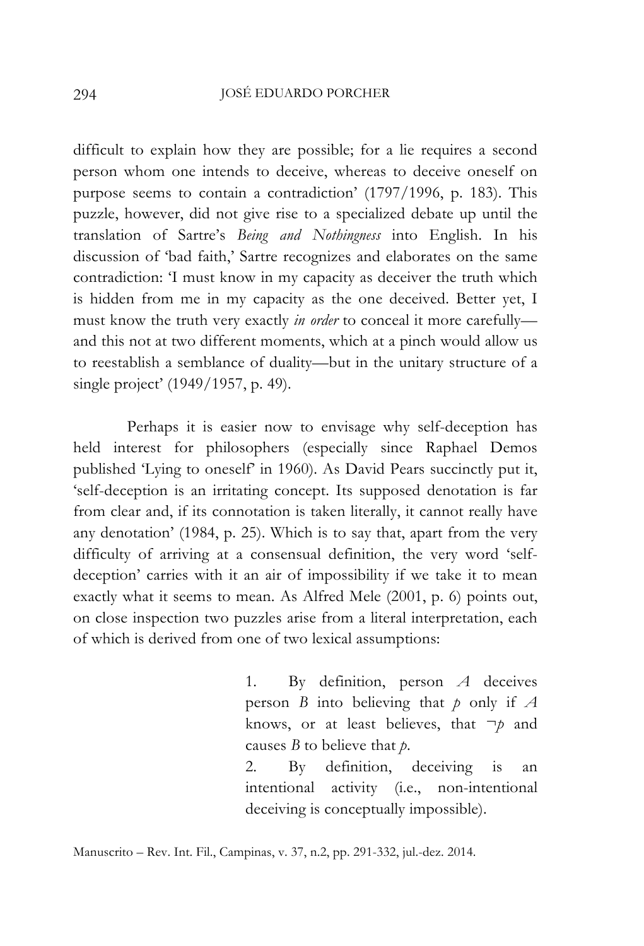difficult to explain how they are possible; for a lie requires a second person whom one intends to deceive, whereas to deceive oneself on purpose seems to contain a contradiction' (1797/1996, p. 183). This puzzle, however, did not give rise to a specialized debate up until the translation of Sartre's *Being and Nothingness* into English. In his discussion of 'bad faith,' Sartre recognizes and elaborates on the same contradiction: 'I must know in my capacity as deceiver the truth which is hidden from me in my capacity as the one deceived. Better yet, I must know the truth very exactly *in order* to conceal it more carefully and this not at two different moments, which at a pinch would allow us to reestablish a semblance of duality—but in the unitary structure of a single project' (1949/1957, p. 49).

Perhaps it is easier now to envisage why self-deception has held interest for philosophers (especially since Raphael Demos published 'Lying to oneself' in 1960). As David Pears succinctly put it, 'self-deception is an irritating concept. Its supposed denotation is far from clear and, if its connotation is taken literally, it cannot really have any denotation' (1984, p. 25). Which is to say that, apart from the very difficulty of arriving at a consensual definition, the very word 'selfdeception' carries with it an air of impossibility if we take it to mean exactly what it seems to mean. As Alfred Mele (2001, p. 6) points out, on close inspection two puzzles arise from a literal interpretation, each of which is derived from one of two lexical assumptions:

> 1. By definition, person *A* deceives person *B* into believing that *p* only if *A* knows, or at least believes, that ¬*p* and causes *B* to believe that *p*.

> 2. By definition, deceiving is an intentional activity (i.e., non-intentional deceiving is conceptually impossible).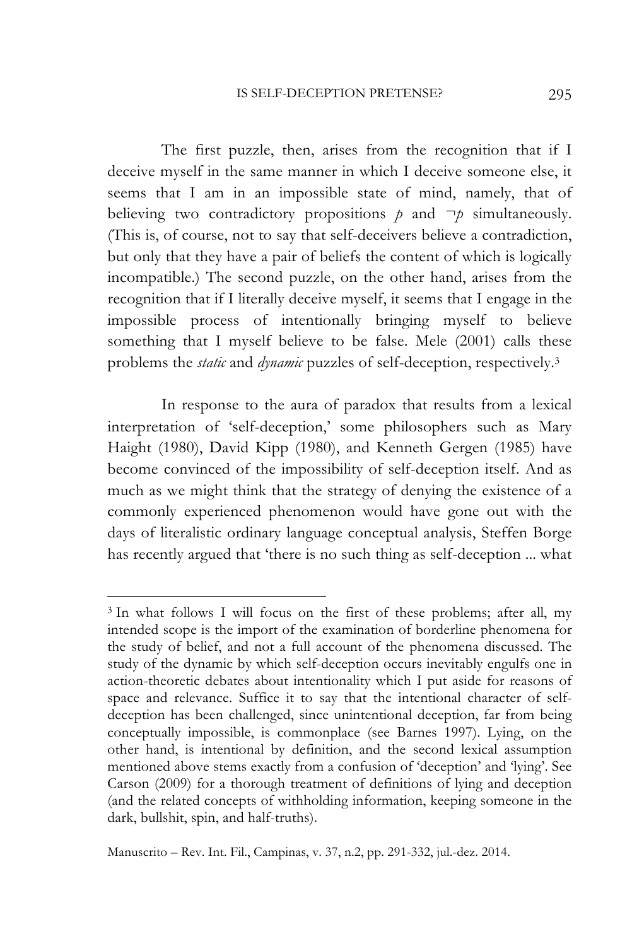The first puzzle, then, arises from the recognition that if I deceive myself in the same manner in which I deceive someone else, it seems that I am in an impossible state of mind, namely, that of believing two contradictory propositions  $p$  and  $\neg p$  simultaneously. (This is, of course, not to say that self-deceivers believe a contradiction, but only that they have a pair of beliefs the content of which is logically incompatible.) The second puzzle, on the other hand, arises from the recognition that if I literally deceive myself, it seems that I engage in the impossible process of intentionally bringing myself to believe something that I myself believe to be false. Mele (2001) calls these problems the *static* and *dynamic* puzzles of self-deception, respectively.3

In response to the aura of paradox that results from a lexical interpretation of 'self-deception,' some philosophers such as Mary Haight (1980), David Kipp (1980), and Kenneth Gergen (1985) have become convinced of the impossibility of self-deception itself. And as much as we might think that the strategy of denying the existence of a commonly experienced phenomenon would have gone out with the days of literalistic ordinary language conceptual analysis, Steffen Borge has recently argued that 'there is no such thing as self-deception ... what

<sup>3</sup> In what follows I will focus on the first of these problems; after all, my intended scope is the import of the examination of borderline phenomena for the study of belief, and not a full account of the phenomena discussed. The study of the dynamic by which self-deception occurs inevitably engulfs one in action-theoretic debates about intentionality which I put aside for reasons of space and relevance. Suffice it to say that the intentional character of selfdeception has been challenged, since unintentional deception, far from being conceptually impossible, is commonplace (see Barnes 1997). Lying, on the other hand, is intentional by definition, and the second lexical assumption mentioned above stems exactly from a confusion of 'deception' and 'lying'. See Carson (2009) for a thorough treatment of definitions of lying and deception (and the related concepts of withholding information, keeping someone in the dark, bullshit, spin, and half-truths).

Manuscrito – Rev. Int. Fil., Campinas, v. 37, n.2, pp. 291-332, jul.-dez. 2014.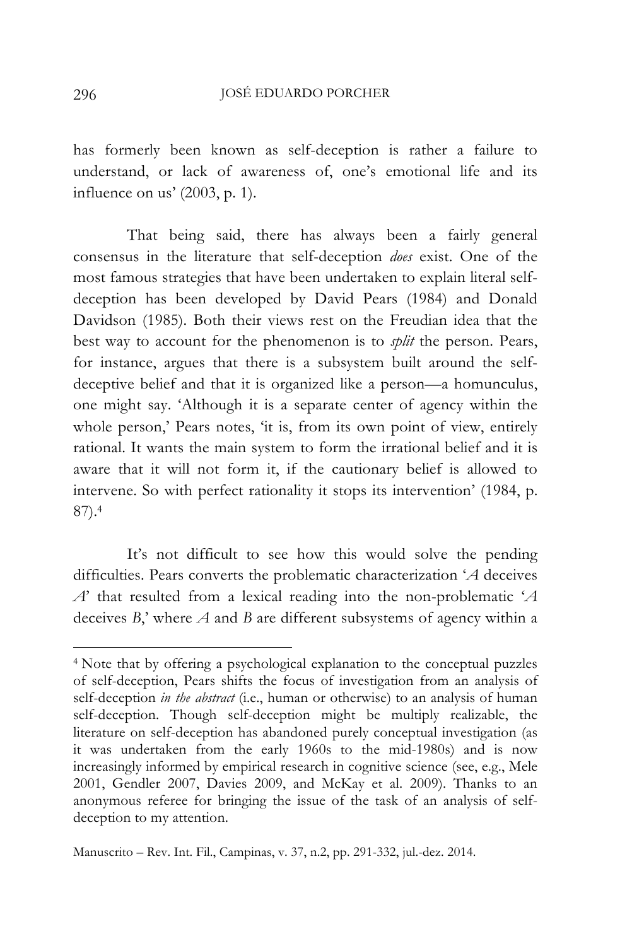has formerly been known as self-deception is rather a failure to understand, or lack of awareness of, one's emotional life and its influence on us' (2003, p. 1).

That being said, there has always been a fairly general consensus in the literature that self-deception *does* exist. One of the most famous strategies that have been undertaken to explain literal selfdeception has been developed by David Pears (1984) and Donald Davidson (1985). Both their views rest on the Freudian idea that the best way to account for the phenomenon is to *split* the person. Pears, for instance, argues that there is a subsystem built around the selfdeceptive belief and that it is organized like a person—a homunculus, one might say. 'Although it is a separate center of agency within the whole person,' Pears notes, 'it is, from its own point of view, entirely rational. It wants the main system to form the irrational belief and it is aware that it will not form it, if the cautionary belief is allowed to intervene. So with perfect rationality it stops its intervention' (1984, p. 87).4

It's not difficult to see how this would solve the pending difficulties. Pears converts the problematic characterization '*A* deceives *A*' that resulted from a lexical reading into the non-problematic '*A* deceives *B*,' where *A* and *B* are different subsystems of agency within a

<sup>4</sup> Note that by offering a psychological explanation to the conceptual puzzles of self-deception, Pears shifts the focus of investigation from an analysis of self-deception *in the abstract* (i.e., human or otherwise) to an analysis of human self-deception. Though self-deception might be multiply realizable, the literature on self-deception has abandoned purely conceptual investigation (as it was undertaken from the early 1960s to the mid-1980s) and is now increasingly informed by empirical research in cognitive science (see, e.g., Mele 2001, Gendler 2007, Davies 2009, and McKay et al. 2009). Thanks to an anonymous referee for bringing the issue of the task of an analysis of selfdeception to my attention.

Manuscrito – Rev. Int. Fil., Campinas, v. 37, n.2, pp. 291-332, jul.-dez. 2014.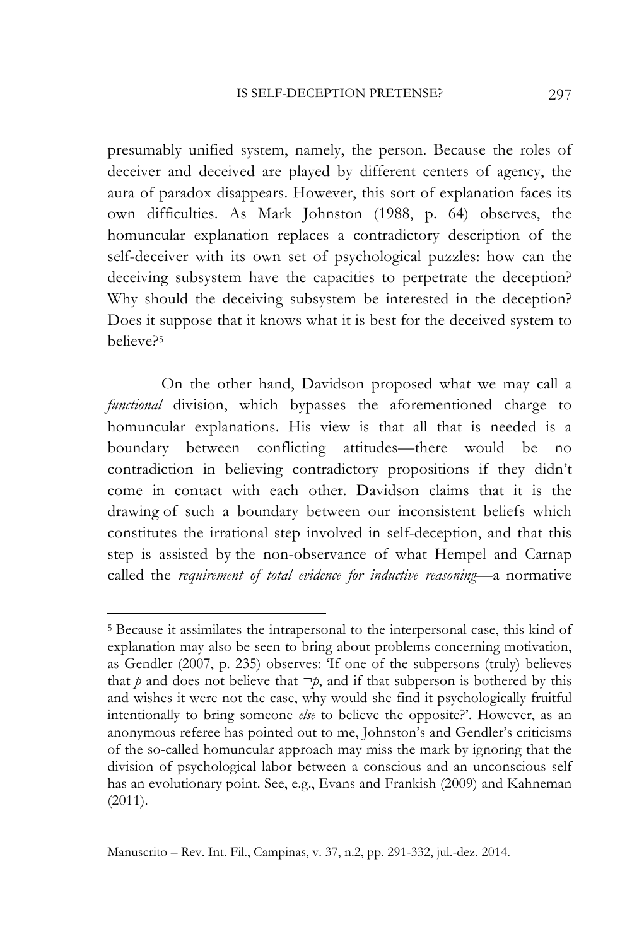presumably unified system, namely, the person. Because the roles of deceiver and deceived are played by different centers of agency, the aura of paradox disappears. However, this sort of explanation faces its own difficulties. As Mark Johnston (1988, p. 64) observes, the homuncular explanation replaces a contradictory description of the self-deceiver with its own set of psychological puzzles: how can the deceiving subsystem have the capacities to perpetrate the deception? Why should the deceiving subsystem be interested in the deception? Does it suppose that it knows what it is best for the deceived system to believe?5

On the other hand, Davidson proposed what we may call a *functional* division, which bypasses the aforementioned charge to homuncular explanations. His view is that all that is needed is a boundary between conflicting attitudes—there would be no contradiction in believing contradictory propositions if they didn't come in contact with each other. Davidson claims that it is the drawing of such a boundary between our inconsistent beliefs which constitutes the irrational step involved in self-deception, and that this step is assisted by the non-observance of what Hempel and Carnap called the *requirement of total evidence for inductive reasoning*—a normative

<sup>5</sup> Because it assimilates the intrapersonal to the interpersonal case, this kind of explanation may also be seen to bring about problems concerning motivation, as Gendler (2007, p. 235) observes: 'If one of the subpersons (truly) believes that  $p$  and does not believe that  $\neg p$ , and if that subperson is bothered by this and wishes it were not the case, why would she find it psychologically fruitful intentionally to bring someone *else* to believe the opposite?'. However, as an anonymous referee has pointed out to me, Johnston's and Gendler's criticisms of the so-called homuncular approach may miss the mark by ignoring that the division of psychological labor between a conscious and an unconscious self has an evolutionary point. See, e.g., Evans and Frankish (2009) and Kahneman (2011).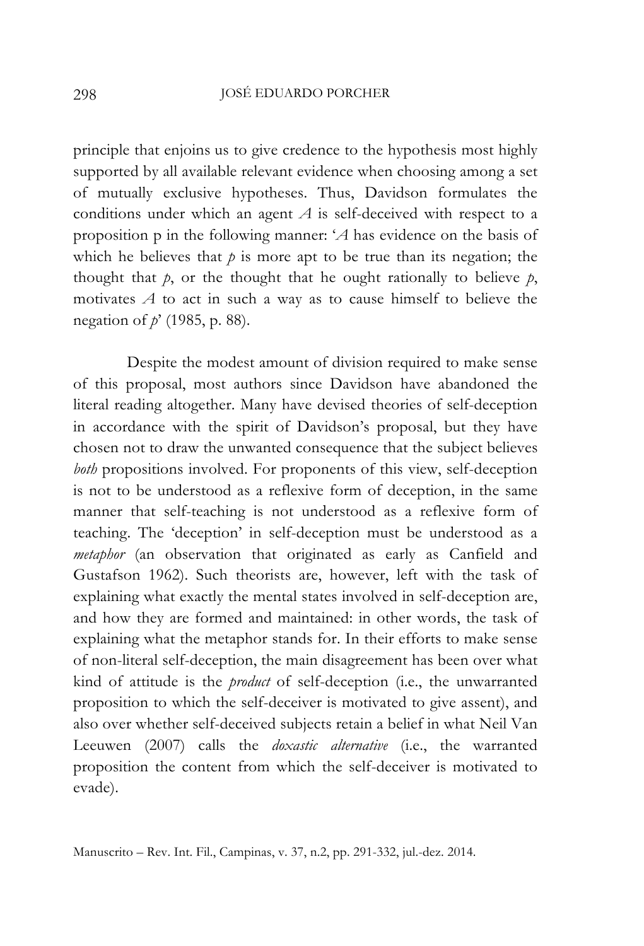principle that enjoins us to give credence to the hypothesis most highly supported by all available relevant evidence when choosing among a set of mutually exclusive hypotheses. Thus, Davidson formulates the conditions under which an agent *A* is self-deceived with respect to a proposition p in the following manner: '*A* has evidence on the basis of which he believes that  $p$  is more apt to be true than its negation; the thought that  $p$ , or the thought that he ought rationally to believe  $p$ , motivates *A* to act in such a way as to cause himself to believe the negation of *p*' (1985, p. 88).

Despite the modest amount of division required to make sense of this proposal, most authors since Davidson have abandoned the literal reading altogether. Many have devised theories of self-deception in accordance with the spirit of Davidson's proposal, but they have chosen not to draw the unwanted consequence that the subject believes *both* propositions involved. For proponents of this view, self-deception is not to be understood as a reflexive form of deception, in the same manner that self-teaching is not understood as a reflexive form of teaching. The 'deception' in self-deception must be understood as a *metaphor* (an observation that originated as early as Canfield and Gustafson 1962). Such theorists are, however, left with the task of explaining what exactly the mental states involved in self-deception are, and how they are formed and maintained: in other words, the task of explaining what the metaphor stands for. In their efforts to make sense of non-literal self-deception, the main disagreement has been over what kind of attitude is the *product* of self-deception (i.e., the unwarranted proposition to which the self-deceiver is motivated to give assent), and also over whether self-deceived subjects retain a belief in what Neil Van Leeuwen (2007) calls the *doxastic alternative* (i.e., the warranted proposition the content from which the self-deceiver is motivated to evade).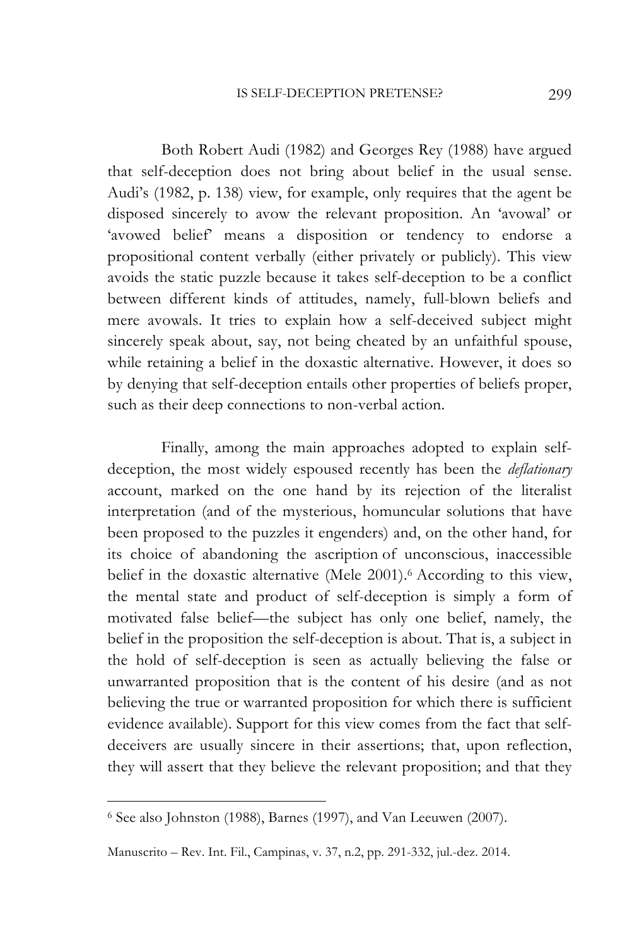Both Robert Audi (1982) and Georges Rey (1988) have argued that self-deception does not bring about belief in the usual sense. Audi's (1982, p. 138) view, for example, only requires that the agent be disposed sincerely to avow the relevant proposition. An 'avowal' or 'avowed belief' means a disposition or tendency to endorse a propositional content verbally (either privately or publicly). This view avoids the static puzzle because it takes self-deception to be a conflict between different kinds of attitudes, namely, full-blown beliefs and mere avowals. It tries to explain how a self-deceived subject might sincerely speak about, say, not being cheated by an unfaithful spouse, while retaining a belief in the doxastic alternative. However, it does so by denying that self-deception entails other properties of beliefs proper, such as their deep connections to non-verbal action.

Finally, among the main approaches adopted to explain selfdeception, the most widely espoused recently has been the *deflationary* account, marked on the one hand by its rejection of the literalist interpretation (and of the mysterious, homuncular solutions that have been proposed to the puzzles it engenders) and, on the other hand, for its choice of abandoning the ascription of unconscious, inaccessible belief in the doxastic alternative (Mele 2001).6 According to this view, the mental state and product of self-deception is simply a form of motivated false belief—the subject has only one belief, namely, the belief in the proposition the self-deception is about. That is, a subject in the hold of self-deception is seen as actually believing the false or unwarranted proposition that is the content of his desire (and as not believing the true or warranted proposition for which there is sufficient evidence available). Support for this view comes from the fact that selfdeceivers are usually sincere in their assertions; that, upon reflection, they will assert that they believe the relevant proposition; and that they

<sup>6</sup> See also Johnston (1988), Barnes (1997), and Van Leeuwen (2007).

Manuscrito – Rev. Int. Fil., Campinas, v. 37, n.2, pp. 291-332, jul.-dez. 2014.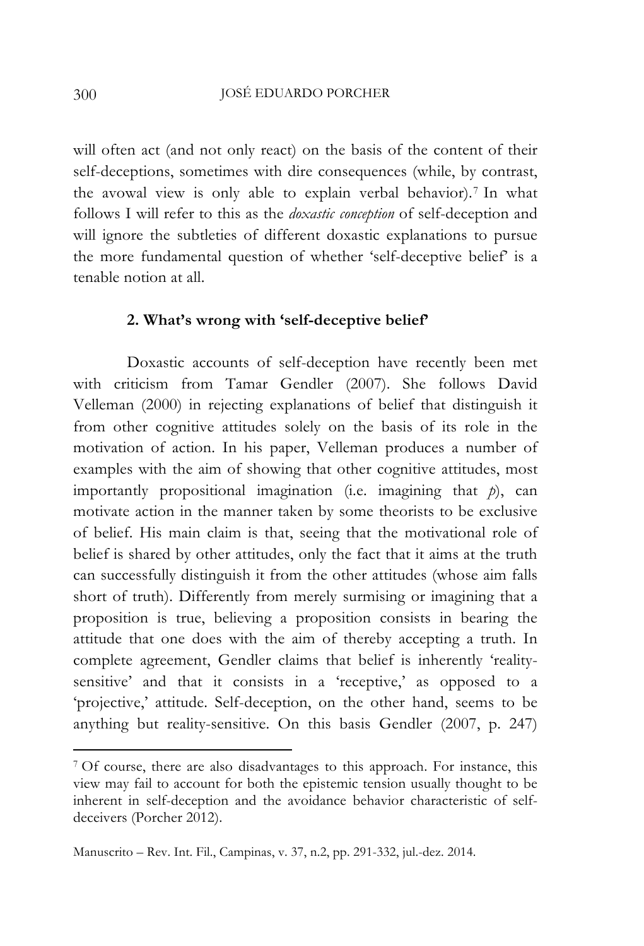will often act (and not only react) on the basis of the content of their self-deceptions, sometimes with dire consequences (while, by contrast, the avowal view is only able to explain verbal behavior).7 In what follows I will refer to this as the *doxastic conception* of self-deception and will ignore the subtleties of different doxastic explanations to pursue the more fundamental question of whether 'self-deceptive belief' is a tenable notion at all.

### **2. What's wrong with 'self-deceptive belief'**

Doxastic accounts of self-deception have recently been met with criticism from Tamar Gendler (2007). She follows David Velleman (2000) in rejecting explanations of belief that distinguish it from other cognitive attitudes solely on the basis of its role in the motivation of action. In his paper, Velleman produces a number of examples with the aim of showing that other cognitive attitudes, most importantly propositional imagination (i.e. imagining that *p*), can motivate action in the manner taken by some theorists to be exclusive of belief. His main claim is that, seeing that the motivational role of belief is shared by other attitudes, only the fact that it aims at the truth can successfully distinguish it from the other attitudes (whose aim falls short of truth). Differently from merely surmising or imagining that a proposition is true, believing a proposition consists in bearing the attitude that one does with the aim of thereby accepting a truth. In complete agreement, Gendler claims that belief is inherently 'realitysensitive' and that it consists in a 'receptive,' as opposed to a 'projective,' attitude. Self-deception, on the other hand, seems to be anything but reality-sensitive. On this basis Gendler (2007, p. 247)

<sup>7</sup> Of course, there are also disadvantages to this approach. For instance, this view may fail to account for both the epistemic tension usually thought to be inherent in self-deception and the avoidance behavior characteristic of selfdeceivers (Porcher 2012).

Manuscrito – Rev. Int. Fil., Campinas, v. 37, n.2, pp. 291-332, jul.-dez. 2014.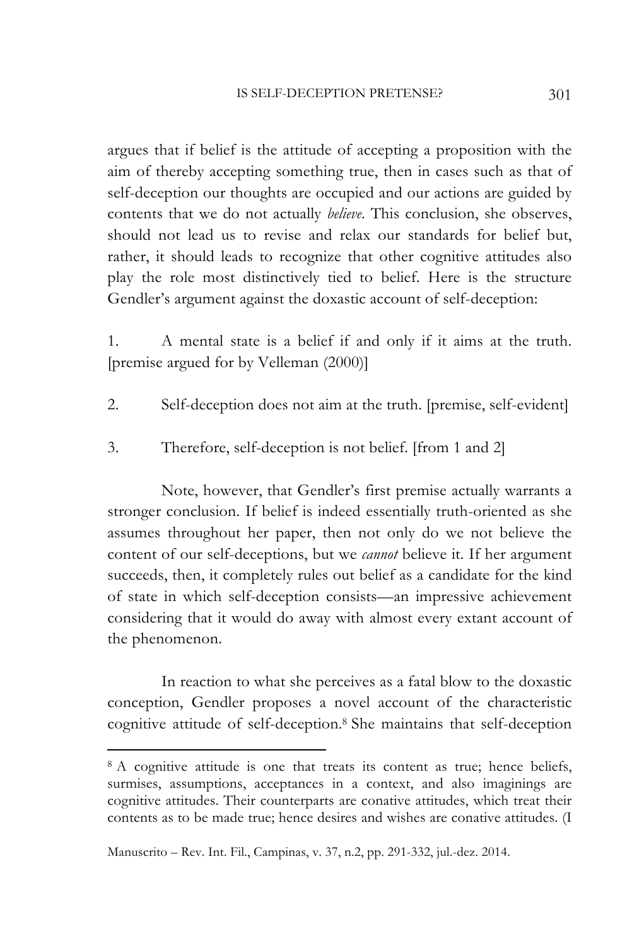argues that if belief is the attitude of accepting a proposition with the aim of thereby accepting something true, then in cases such as that of self-deception our thoughts are occupied and our actions are guided by contents that we do not actually *believe*. This conclusion, she observes, should not lead us to revise and relax our standards for belief but, rather, it should leads to recognize that other cognitive attitudes also play the role most distinctively tied to belief. Here is the structure Gendler's argument against the doxastic account of self-deception:

1. A mental state is a belief if and only if it aims at the truth. [premise argued for by Velleman (2000)]

- 2. Self-deception does not aim at the truth. [premise, self-evident]
- 3. Therefore, self-deception is not belief. [from 1 and 2]

Note, however, that Gendler's first premise actually warrants a stronger conclusion. If belief is indeed essentially truth-oriented as she assumes throughout her paper, then not only do we not believe the content of our self-deceptions, but we *cannot* believe it. If her argument succeeds, then, it completely rules out belief as a candidate for the kind of state in which self-deception consists—an impressive achievement considering that it would do away with almost every extant account of the phenomenon.

In reaction to what she perceives as a fatal blow to the doxastic conception, Gendler proposes a novel account of the characteristic cognitive attitude of self-deception.8 She maintains that self-deception

<sup>&</sup>lt;sup>8</sup> A cognitive attitude is one that treats its content as true; hence beliefs, surmises, assumptions, acceptances in a context, and also imaginings are cognitive attitudes. Their counterparts are conative attitudes, which treat their contents as to be made true; hence desires and wishes are conative attitudes. (I

Manuscrito – Rev. Int. Fil., Campinas, v. 37, n.2, pp. 291-332, jul.-dez. 2014.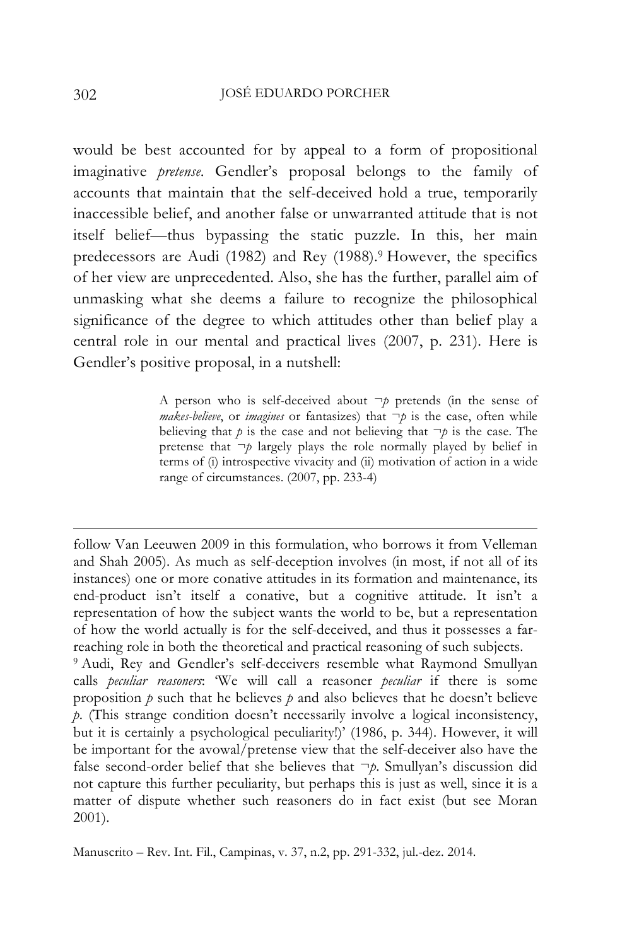would be best accounted for by appeal to a form of propositional imaginative *pretense*. Gendler's proposal belongs to the family of accounts that maintain that the self-deceived hold a true, temporarily inaccessible belief, and another false or unwarranted attitude that is not itself belief—thus bypassing the static puzzle. In this, her main predecessors are Audi (1982) and Rey (1988).9 However, the specifics of her view are unprecedented. Also, she has the further, parallel aim of unmasking what she deems a failure to recognize the philosophical significance of the degree to which attitudes other than belief play a central role in our mental and practical lives (2007, p. 231). Here is Gendler's positive proposal, in a nutshell:

> A person who is self-deceived about  $\neg p$  pretends (in the sense of *makes-believe*, or *imagines* or fantasizes) that  $\neg p$  is the case, often while believing that  $p$  is the case and not believing that  $\neg p$  is the case. The pretense that  $\neg p$  largely plays the role normally played by belief in terms of (i) introspective vivacity and (ii) motivation of action in a wide range of circumstances. (2007, pp. 233-4)

follow Van Leeuwen 2009 in this formulation, who borrows it from Velleman and Shah 2005). As much as self-deception involves (in most, if not all of its instances) one or more conative attitudes in its formation and maintenance, its end-product isn't itself a conative, but a cognitive attitude. It isn't a representation of how the subject wants the world to be, but a representation of how the world actually is for the self-deceived, and thus it possesses a farreaching role in both the theoretical and practical reasoning of such subjects. <sup>9</sup> Audi, Rey and Gendler's self-deceivers resemble what Raymond Smullyan calls *peculiar reasoners*: 'We will call a reasoner *peculiar* if there is some proposition  $p$  such that he believes  $p$  and also believes that he doesn't believe *p*. (This strange condition doesn't necessarily involve a logical inconsistency, but it is certainly a psychological peculiarity!)' (1986, p. 344). However, it will be important for the avowal/pretense view that the self-deceiver also have the false second-order belief that she believes that ¬*p*. Smullyan's discussion did not capture this further peculiarity, but perhaps this is just as well, since it is a

 

Manuscrito – Rev. Int. Fil., Campinas, v. 37, n.2, pp. 291-332, jul.-dez. 2014.

matter of dispute whether such reasoners do in fact exist (but see Moran

2001).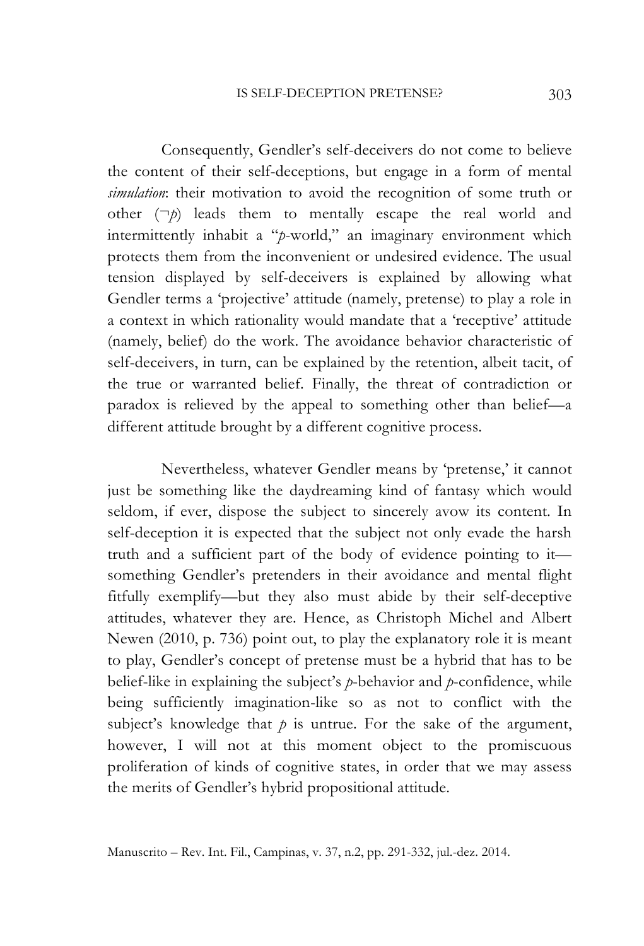Consequently, Gendler's self-deceivers do not come to believe the content of their self-deceptions, but engage in a form of mental *simulation*: their motivation to avoid the recognition of some truth or other  $(\neg p)$  leads them to mentally escape the real world and intermittently inhabit a "*p*-world," an imaginary environment which protects them from the inconvenient or undesired evidence. The usual tension displayed by self-deceivers is explained by allowing what Gendler terms a 'projective' attitude (namely, pretense) to play a role in a context in which rationality would mandate that a 'receptive' attitude (namely, belief) do the work. The avoidance behavior characteristic of self-deceivers, in turn, can be explained by the retention, albeit tacit, of the true or warranted belief. Finally, the threat of contradiction or paradox is relieved by the appeal to something other than belief—a different attitude brought by a different cognitive process.

Nevertheless, whatever Gendler means by 'pretense,' it cannot just be something like the daydreaming kind of fantasy which would seldom, if ever, dispose the subject to sincerely avow its content. In self-deception it is expected that the subject not only evade the harsh truth and a sufficient part of the body of evidence pointing to it something Gendler's pretenders in their avoidance and mental flight fitfully exemplify—but they also must abide by their self-deceptive attitudes, whatever they are. Hence, as Christoph Michel and Albert Newen (2010, p. 736) point out, to play the explanatory role it is meant to play, Gendler's concept of pretense must be a hybrid that has to be belief-like in explaining the subject's *p*-behavior and *p*-confidence, while being sufficiently imagination-like so as not to conflict with the subject's knowledge that  $p$  is untrue. For the sake of the argument, however, I will not at this moment object to the promiscuous proliferation of kinds of cognitive states, in order that we may assess the merits of Gendler's hybrid propositional attitude.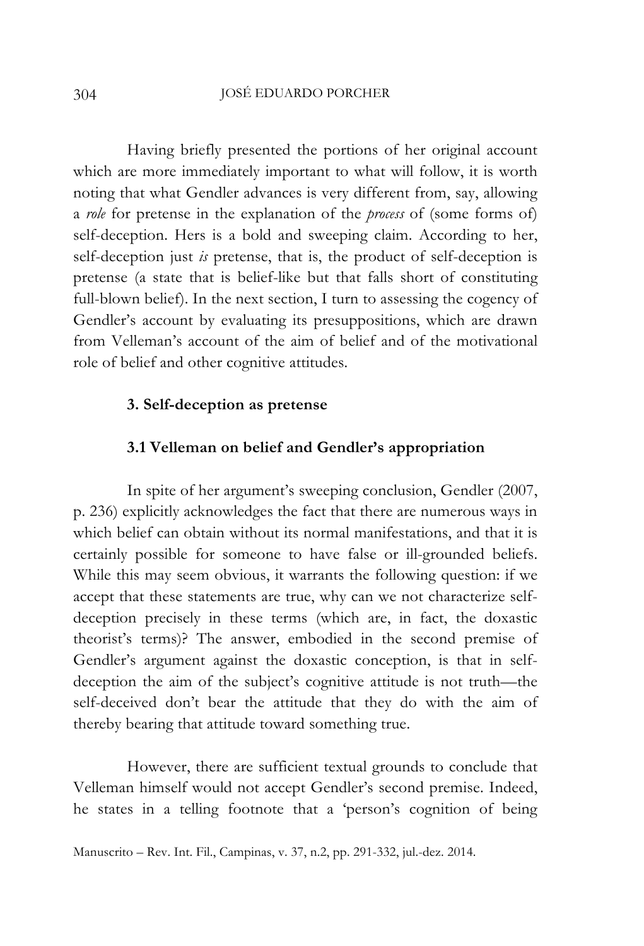Having briefly presented the portions of her original account which are more immediately important to what will follow, it is worth noting that what Gendler advances is very different from, say, allowing a *role* for pretense in the explanation of the *process* of (some forms of) self-deception. Hers is a bold and sweeping claim. According to her, self-deception just *is* pretense, that is, the product of self-deception is pretense (a state that is belief-like but that falls short of constituting full-blown belief). In the next section, I turn to assessing the cogency of Gendler's account by evaluating its presuppositions, which are drawn from Velleman's account of the aim of belief and of the motivational role of belief and other cognitive attitudes.

#### **3. Self-deception as pretense**

#### **3.1 Velleman on belief and Gendler's appropriation**

In spite of her argument's sweeping conclusion, Gendler (2007, p. 236) explicitly acknowledges the fact that there are numerous ways in which belief can obtain without its normal manifestations, and that it is certainly possible for someone to have false or ill-grounded beliefs. While this may seem obvious, it warrants the following question: if we accept that these statements are true, why can we not characterize selfdeception precisely in these terms (which are, in fact, the doxastic theorist's terms)? The answer, embodied in the second premise of Gendler's argument against the doxastic conception, is that in selfdeception the aim of the subject's cognitive attitude is not truth—the self-deceived don't bear the attitude that they do with the aim of thereby bearing that attitude toward something true.

However, there are sufficient textual grounds to conclude that Velleman himself would not accept Gendler's second premise. Indeed, he states in a telling footnote that a 'person's cognition of being

Manuscrito – Rev. Int. Fil., Campinas, v. 37, n.2, pp. 291-332, jul.-dez. 2014.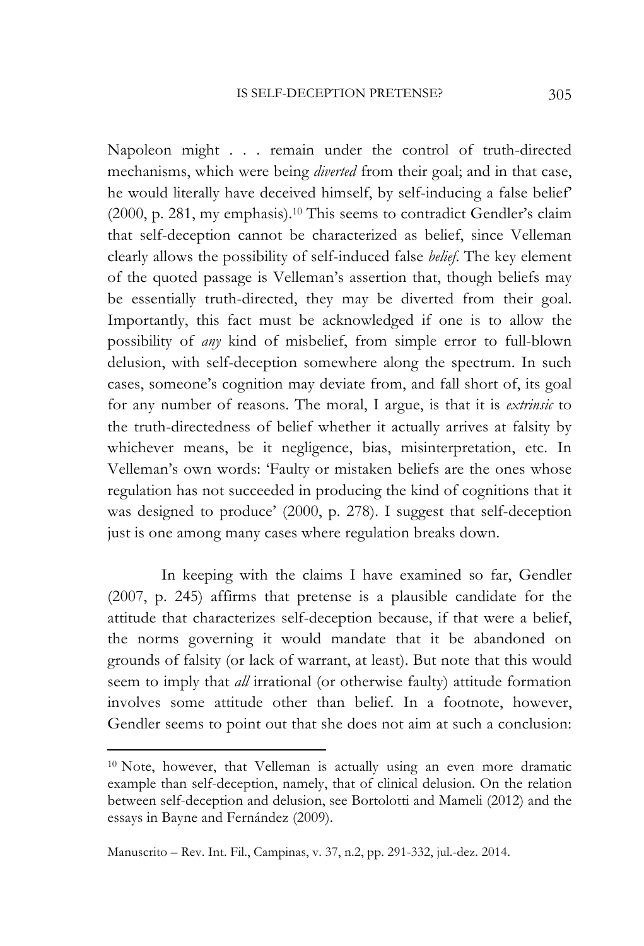Napoleon might . . . remain under the control of truth-directed mechanisms, which were being *diverted* from their goal; and in that case, he would literally have deceived himself, by self-inducing a false belief' (2000, p. 281, my emphasis).10 This seems to contradict Gendler's claim that self-deception cannot be characterized as belief, since Velleman clearly allows the possibility of self-induced false *belief*. The key element of the quoted passage is Velleman's assertion that, though beliefs may be essentially truth-directed, they may be diverted from their goal. Importantly, this fact must be acknowledged if one is to allow the possibility of *any* kind of misbelief, from simple error to full-blown delusion, with self-deception somewhere along the spectrum. In such cases, someone's cognition may deviate from, and fall short of, its goal for any number of reasons. The moral, I argue, is that it is *extrinsic* to the truth-directedness of belief whether it actually arrives at falsity by whichever means, be it negligence, bias, misinterpretation, etc. In Velleman's own words: 'Faulty or mistaken beliefs are the ones whose regulation has not succeeded in producing the kind of cognitions that it was designed to produce' (2000, p. 278). I suggest that self-deception just is one among many cases where regulation breaks down.

In keeping with the claims I have examined so far, Gendler (2007, p. 245) affirms that pretense is a plausible candidate for the attitude that characterizes self-deception because, if that were a belief, the norms governing it would mandate that it be abandoned on grounds of falsity (or lack of warrant, at least). But note that this would seem to imply that *all* irrational (or otherwise faulty) attitude formation involves some attitude other than belief. In a footnote, however, Gendler seems to point out that she does not aim at such a conclusion:

<sup>10</sup> Note, however, that Velleman is actually using an even more dramatic example than self-deception, namely, that of clinical delusion. On the relation between self-deception and delusion, see Bortolotti and Mameli (2012) and the essays in Bayne and Fernández (2009).

Manuscrito – Rev. Int. Fil., Campinas, v. 37, n.2, pp. 291-332, jul.-dez. 2014.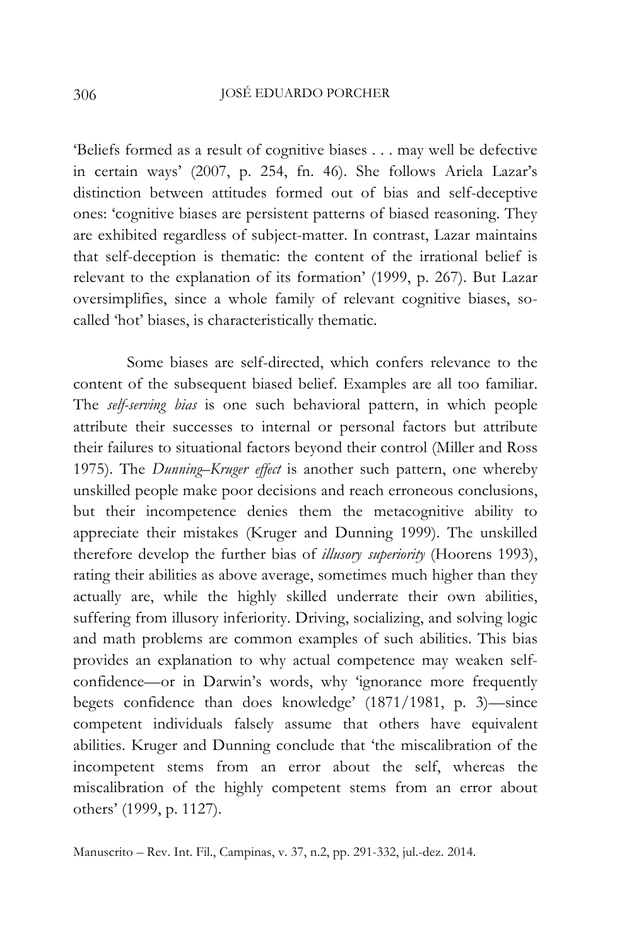'Beliefs formed as a result of cognitive biases . . . may well be defective in certain ways' (2007, p. 254, fn. 46). She follows Ariela Lazar's distinction between attitudes formed out of bias and self-deceptive ones: 'cognitive biases are persistent patterns of biased reasoning. They are exhibited regardless of subject-matter. In contrast, Lazar maintains that self-deception is thematic: the content of the irrational belief is relevant to the explanation of its formation' (1999, p. 267). But Lazar oversimplifies, since a whole family of relevant cognitive biases, socalled 'hot' biases, is characteristically thematic.

Some biases are self-directed, which confers relevance to the content of the subsequent biased belief. Examples are all too familiar. The *self-serving bias* is one such behavioral pattern, in which people attribute their successes to internal or personal factors but attribute their failures to situational factors beyond their control (Miller and Ross 1975). The *Dunning–Kruger effect* is another such pattern, one whereby unskilled people make poor decisions and reach erroneous conclusions, but their incompetence denies them the metacognitive ability to appreciate their mistakes (Kruger and Dunning 1999). The unskilled therefore develop the further bias of *illusory superiority* (Hoorens 1993), rating their abilities as above average, sometimes much higher than they actually are, while the highly skilled underrate their own abilities, suffering from illusory inferiority. Driving, socializing, and solving logic and math problems are common examples of such abilities. This bias provides an explanation to why actual competence may weaken selfconfidence—or in Darwin's words, why 'ignorance more frequently begets confidence than does knowledge' (1871/1981, p. 3)—since competent individuals falsely assume that others have equivalent abilities. Kruger and Dunning conclude that 'the miscalibration of the incompetent stems from an error about the self, whereas the miscalibration of the highly competent stems from an error about others' (1999, p. 1127).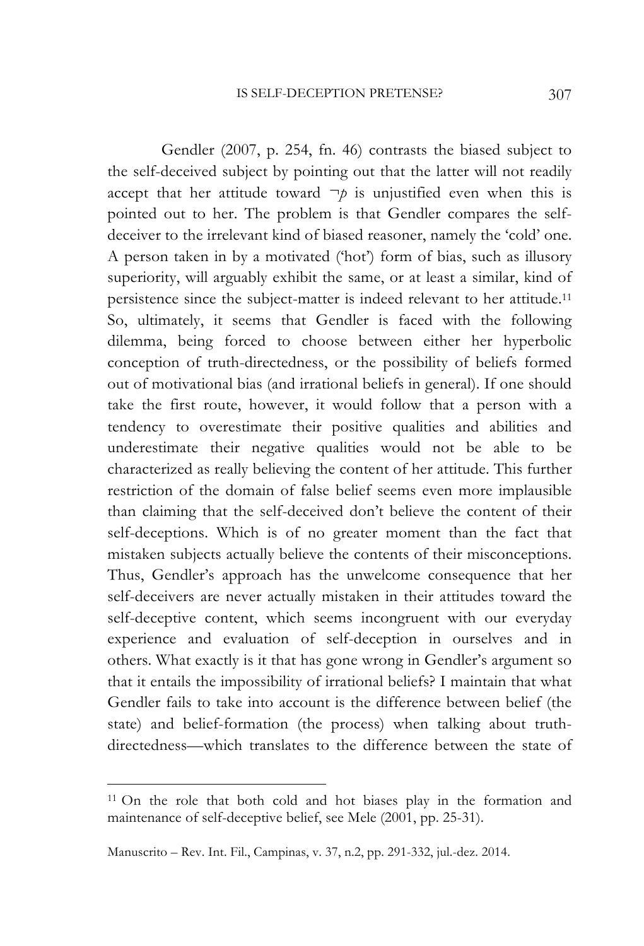Gendler (2007, p. 254, fn. 46) contrasts the biased subject to the self-deceived subject by pointing out that the latter will not readily accept that her attitude toward  $\neg p$  is unjustified even when this is pointed out to her. The problem is that Gendler compares the selfdeceiver to the irrelevant kind of biased reasoner, namely the 'cold' one. A person taken in by a motivated ('hot') form of bias, such as illusory superiority, will arguably exhibit the same, or at least a similar, kind of persistence since the subject-matter is indeed relevant to her attitude.11 So, ultimately, it seems that Gendler is faced with the following dilemma, being forced to choose between either her hyperbolic conception of truth-directedness, or the possibility of beliefs formed out of motivational bias (and irrational beliefs in general). If one should take the first route, however, it would follow that a person with a tendency to overestimate their positive qualities and abilities and underestimate their negative qualities would not be able to be characterized as really believing the content of her attitude. This further restriction of the domain of false belief seems even more implausible than claiming that the self-deceived don't believe the content of their self-deceptions. Which is of no greater moment than the fact that mistaken subjects actually believe the contents of their misconceptions. Thus, Gendler's approach has the unwelcome consequence that her self-deceivers are never actually mistaken in their attitudes toward the self-deceptive content, which seems incongruent with our everyday experience and evaluation of self-deception in ourselves and in others. What exactly is it that has gone wrong in Gendler's argument so that it entails the impossibility of irrational beliefs? I maintain that what Gendler fails to take into account is the difference between belief (the state) and belief-formation (the process) when talking about truthdirectedness—which translates to the difference between the state of

<sup>&</sup>lt;sup>11</sup> On the role that both cold and hot biases play in the formation and maintenance of self-deceptive belief, see Mele (2001, pp. 25-31).

Manuscrito – Rev. Int. Fil., Campinas, v. 37, n.2, pp. 291-332, jul.-dez. 2014.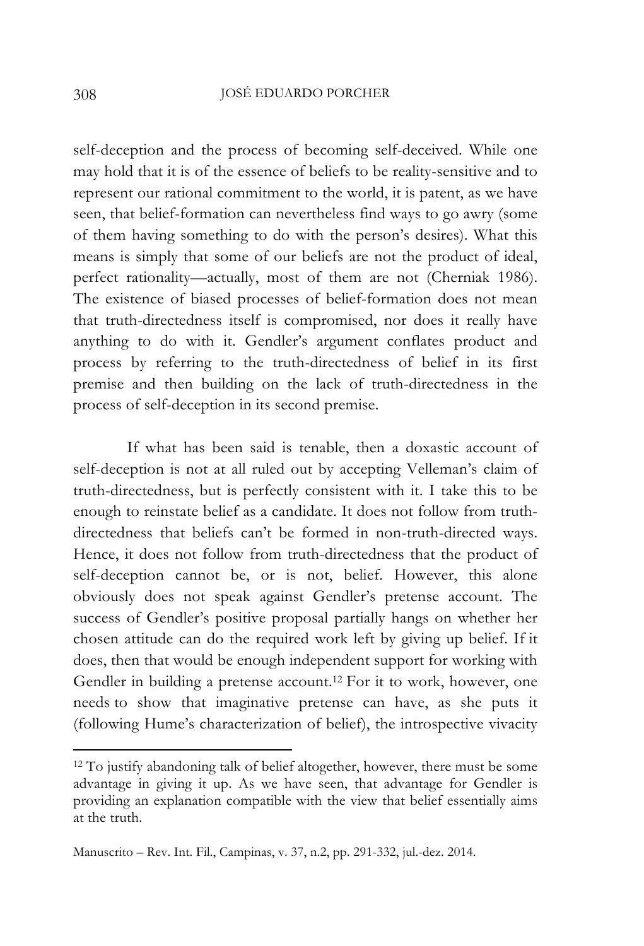self-deception and the process of becoming self-deceived. While one may hold that it is of the essence of beliefs to be reality-sensitive and to represent our rational commitment to the world, it is patent, as we have seen, that belief-formation can nevertheless find ways to go awry (some of them having something to do with the person's desires). What this means is simply that some of our beliefs are not the product of ideal, perfect rationality—actually, most of them are not (Cherniak 1986). The existence of biased processes of belief-formation does not mean that truth-directedness itself is compromised, nor does it really have anything to do with it. Gendler's argument conflates product and process by referring to the truth-directedness of belief in its first premise and then building on the lack of truth-directedness in the process of self-deception in its second premise.

If what has been said is tenable, then a doxastic account of self-deception is not at all ruled out by accepting Velleman's claim of truth-directedness, but is perfectly consistent with it. I take this to be enough to reinstate belief as a candidate. It does not follow from truthdirectedness that beliefs can't be formed in non-truth-directed ways. Hence, it does not follow from truth-directedness that the product of self-deception cannot be, or is not, belief. However, this alone obviously does not speak against Gendler's pretense account. The success of Gendler's positive proposal partially hangs on whether her chosen attitude can do the required work left by giving up belief. If it does, then that would be enough independent support for working with Gendler in building a pretense account.12 For it to work, however, one needs to show that imaginative pretense can have, as she puts it (following Hume's characterization of belief), the introspective vivacity

<sup>&</sup>lt;sup>12</sup> To justify abandoning talk of belief altogether, however, there must be some advantage in giving it up. As we have seen, that advantage for Gendler is providing an explanation compatible with the view that belief essentially aims at the truth.

Manuscrito – Rev. Int. Fil., Campinas, v. 37, n.2, pp. 291-332, jul.-dez. 2014.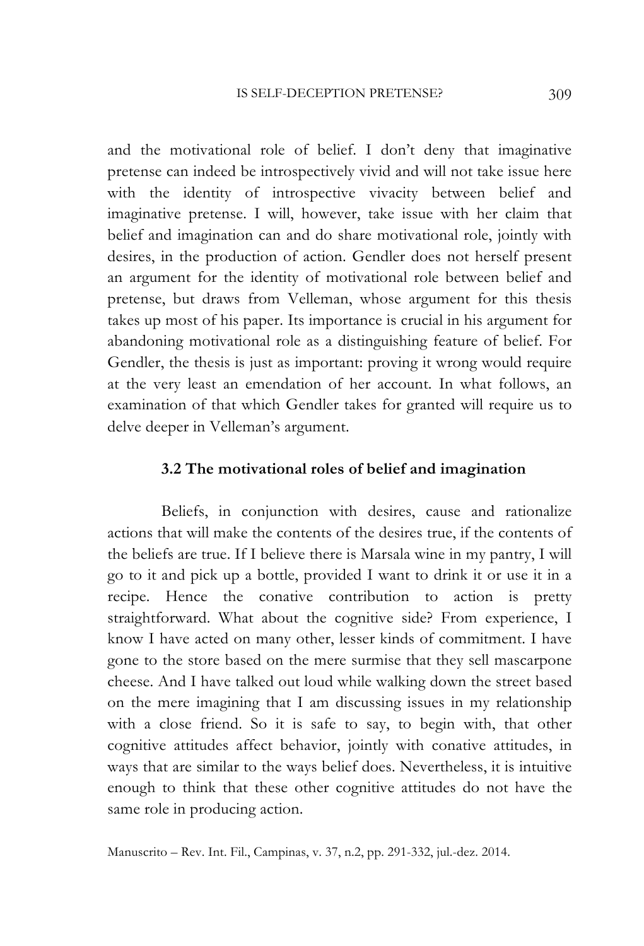and the motivational role of belief. I don't deny that imaginative pretense can indeed be introspectively vivid and will not take issue here with the identity of introspective vivacity between belief and imaginative pretense. I will, however, take issue with her claim that belief and imagination can and do share motivational role, jointly with desires, in the production of action. Gendler does not herself present an argument for the identity of motivational role between belief and pretense, but draws from Velleman, whose argument for this thesis takes up most of his paper. Its importance is crucial in his argument for abandoning motivational role as a distinguishing feature of belief. For Gendler, the thesis is just as important: proving it wrong would require at the very least an emendation of her account. In what follows, an examination of that which Gendler takes for granted will require us to delve deeper in Velleman's argument.

# **3.2 The motivational roles of belief and imagination**

Beliefs, in conjunction with desires, cause and rationalize actions that will make the contents of the desires true, if the contents of the beliefs are true. If I believe there is Marsala wine in my pantry, I will go to it and pick up a bottle, provided I want to drink it or use it in a recipe. Hence the conative contribution to action is pretty straightforward. What about the cognitive side? From experience, I know I have acted on many other, lesser kinds of commitment. I have gone to the store based on the mere surmise that they sell mascarpone cheese. And I have talked out loud while walking down the street based on the mere imagining that I am discussing issues in my relationship with a close friend. So it is safe to say, to begin with, that other cognitive attitudes affect behavior, jointly with conative attitudes, in ways that are similar to the ways belief does. Nevertheless, it is intuitive enough to think that these other cognitive attitudes do not have the same role in producing action.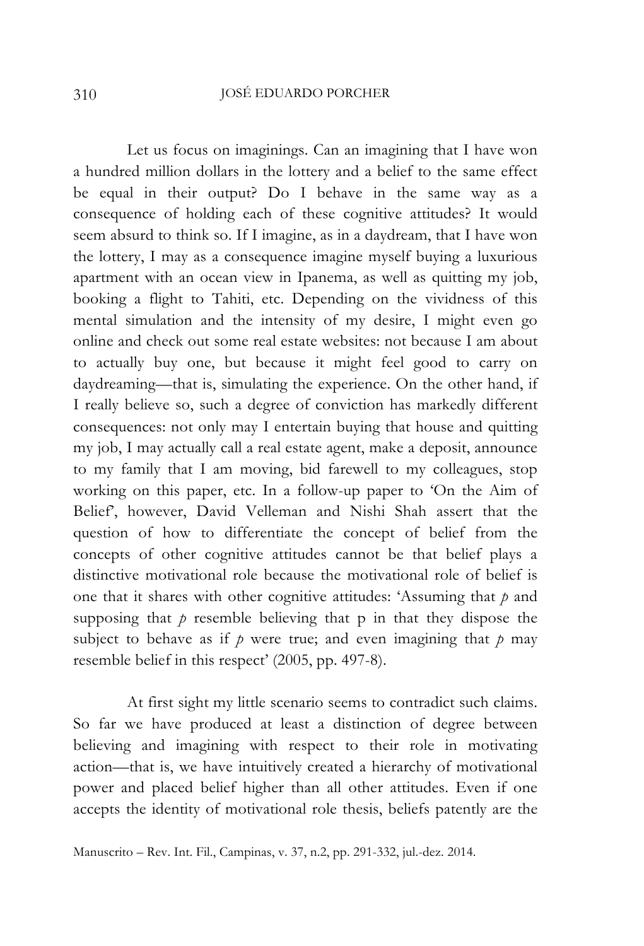Let us focus on imaginings. Can an imagining that I have won a hundred million dollars in the lottery and a belief to the same effect be equal in their output? Do I behave in the same way as a consequence of holding each of these cognitive attitudes? It would seem absurd to think so. If I imagine, as in a daydream, that I have won the lottery, I may as a consequence imagine myself buying a luxurious apartment with an ocean view in Ipanema, as well as quitting my job, booking a flight to Tahiti, etc. Depending on the vividness of this mental simulation and the intensity of my desire, I might even go online and check out some real estate websites: not because I am about to actually buy one, but because it might feel good to carry on daydreaming—that is, simulating the experience. On the other hand, if I really believe so, such a degree of conviction has markedly different consequences: not only may I entertain buying that house and quitting my job, I may actually call a real estate agent, make a deposit, announce to my family that I am moving, bid farewell to my colleagues, stop working on this paper, etc. In a follow-up paper to 'On the Aim of Belief', however, David Velleman and Nishi Shah assert that the question of how to differentiate the concept of belief from the concepts of other cognitive attitudes cannot be that belief plays a distinctive motivational role because the motivational role of belief is one that it shares with other cognitive attitudes: 'Assuming that *p* and supposing that  $p$  resemble believing that  $p$  in that they dispose the subject to behave as if  $p$  were true; and even imagining that  $p$  may resemble belief in this respect' (2005, pp. 497-8).

At first sight my little scenario seems to contradict such claims. So far we have produced at least a distinction of degree between believing and imagining with respect to their role in motivating action—that is, we have intuitively created a hierarchy of motivational power and placed belief higher than all other attitudes. Even if one accepts the identity of motivational role thesis, beliefs patently are the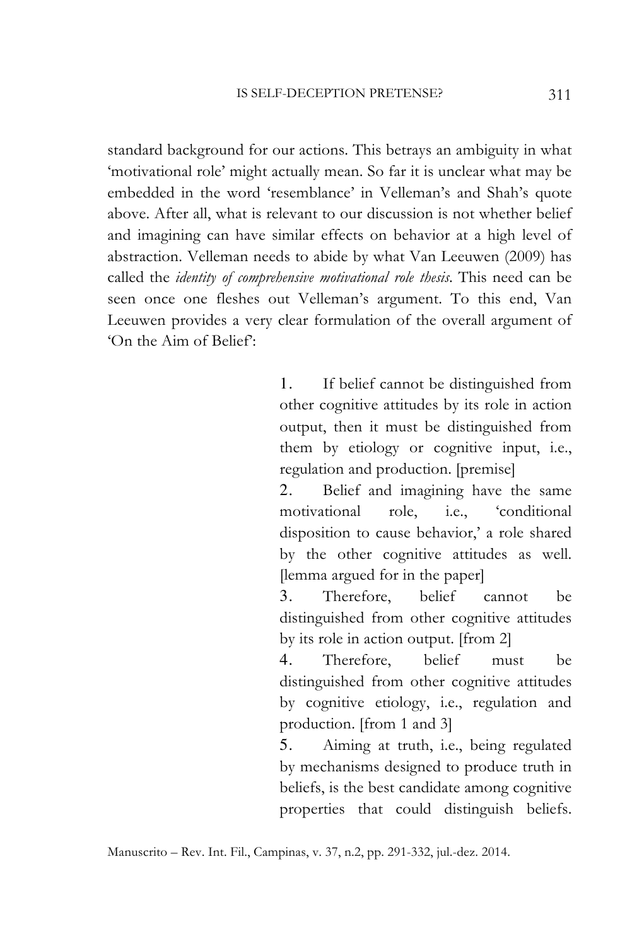standard background for our actions. This betrays an ambiguity in what 'motivational role' might actually mean. So far it is unclear what may be embedded in the word 'resemblance' in Velleman's and Shah's quote above. After all, what is relevant to our discussion is not whether belief and imagining can have similar effects on behavior at a high level of abstraction. Velleman needs to abide by what Van Leeuwen (2009) has called the *identity of comprehensive motivational role thesis*. This need can be seen once one fleshes out Velleman's argument. To this end, Van Leeuwen provides a very clear formulation of the overall argument of 'On the Aim of Belief':

> 1. If belief cannot be distinguished from other cognitive attitudes by its role in action output, then it must be distinguished from them by etiology or cognitive input, i.e., regulation and production. [premise]

> 2. Belief and imagining have the same motivational role, i.e., 'conditional disposition to cause behavior,' a role shared by the other cognitive attitudes as well. [lemma argued for in the paper]

> 3. Therefore, belief cannot be distinguished from other cognitive attitudes by its role in action output. [from 2]

> 4. Therefore, belief must be distinguished from other cognitive attitudes by cognitive etiology, i.e., regulation and production. [from 1 and 3]

> 5. Aiming at truth, i.e., being regulated by mechanisms designed to produce truth in beliefs, is the best candidate among cognitive properties that could distinguish beliefs.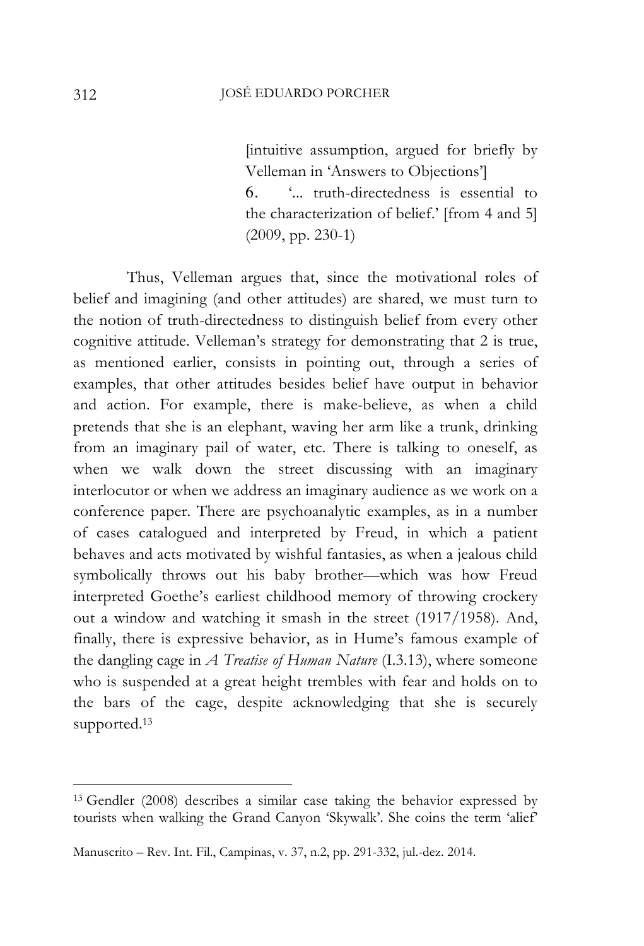[intuitive assumption, argued for briefly by Velleman in 'Answers to Objections'] 6. '... truth-directedness is essential to the characterization of belief.' [from 4 and 5] (2009, pp. 230-1)

Thus, Velleman argues that, since the motivational roles of belief and imagining (and other attitudes) are shared, we must turn to the notion of truth-directedness to distinguish belief from every other cognitive attitude. Velleman's strategy for demonstrating that 2 is true, as mentioned earlier, consists in pointing out, through a series of examples, that other attitudes besides belief have output in behavior and action. For example, there is make-believe, as when a child pretends that she is an elephant, waving her arm like a trunk, drinking from an imaginary pail of water, etc. There is talking to oneself, as when we walk down the street discussing with an imaginary interlocutor or when we address an imaginary audience as we work on a conference paper. There are psychoanalytic examples, as in a number of cases catalogued and interpreted by Freud, in which a patient behaves and acts motivated by wishful fantasies, as when a jealous child symbolically throws out his baby brother—which was how Freud interpreted Goethe's earliest childhood memory of throwing crockery out a window and watching it smash in the street (1917/1958). And, finally, there is expressive behavior, as in Hume's famous example of the dangling cage in *A Treatise of Human Nature* (I.3.13), where someone who is suspended at a great height trembles with fear and holds on to the bars of the cage, despite acknowledging that she is securely supported.13

<sup>13</sup> Gendler (2008) describes a similar case taking the behavior expressed by tourists when walking the Grand Canyon 'Skywalk'. She coins the term 'alief'

Manuscrito – Rev. Int. Fil., Campinas, v. 37, n.2, pp. 291-332, jul.-dez. 2014.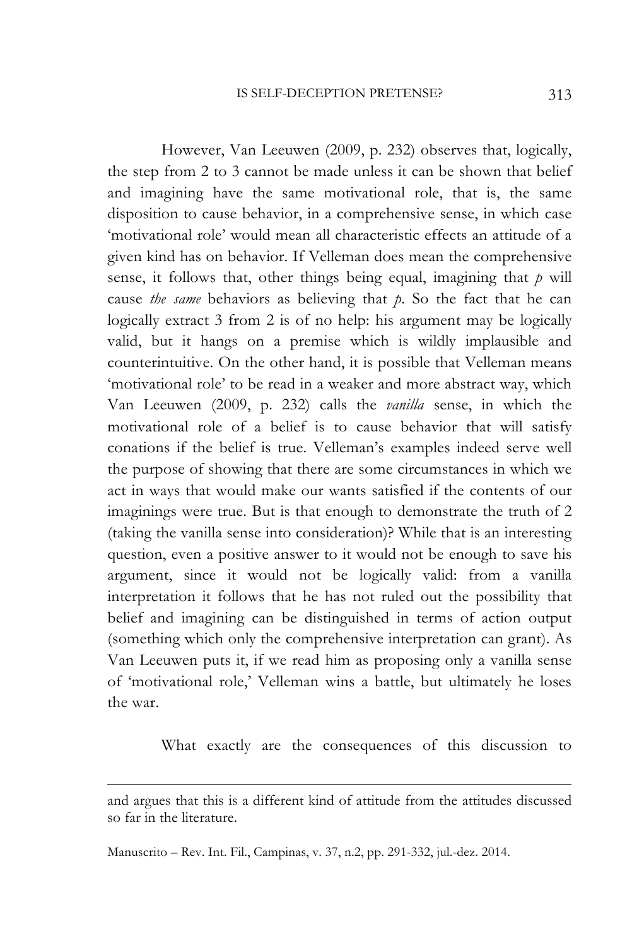However, Van Leeuwen (2009, p. 232) observes that, logically, the step from 2 to 3 cannot be made unless it can be shown that belief and imagining have the same motivational role, that is, the same disposition to cause behavior, in a comprehensive sense, in which case 'motivational role' would mean all characteristic effects an attitude of a given kind has on behavior. If Velleman does mean the comprehensive sense, it follows that, other things being equal, imagining that *p* will cause *the same* behaviors as believing that *p*. So the fact that he can logically extract 3 from 2 is of no help: his argument may be logically valid, but it hangs on a premise which is wildly implausible and counterintuitive. On the other hand, it is possible that Velleman means 'motivational role' to be read in a weaker and more abstract way, which Van Leeuwen (2009, p. 232) calls the *vanilla* sense, in which the motivational role of a belief is to cause behavior that will satisfy conations if the belief is true. Velleman's examples indeed serve well the purpose of showing that there are some circumstances in which we act in ways that would make our wants satisfied if the contents of our imaginings were true. But is that enough to demonstrate the truth of 2 (taking the vanilla sense into consideration)? While that is an interesting question, even a positive answer to it would not be enough to save his argument, since it would not be logically valid: from a vanilla interpretation it follows that he has not ruled out the possibility that belief and imagining can be distinguished in terms of action output (something which only the comprehensive interpretation can grant). As Van Leeuwen puts it, if we read him as proposing only a vanilla sense of 'motivational role,' Velleman wins a battle, but ultimately he loses the war.

What exactly are the consequences of this discussion to

<sup>&</sup>lt;u> 2000 - Jan Samuel Barbara, martin da shekarar 1980 - Andrew Samuel Barbara, mashrida a shekarar 1980 - Andrew</u> and argues that this is a different kind of attitude from the attitudes discussed so far in the literature.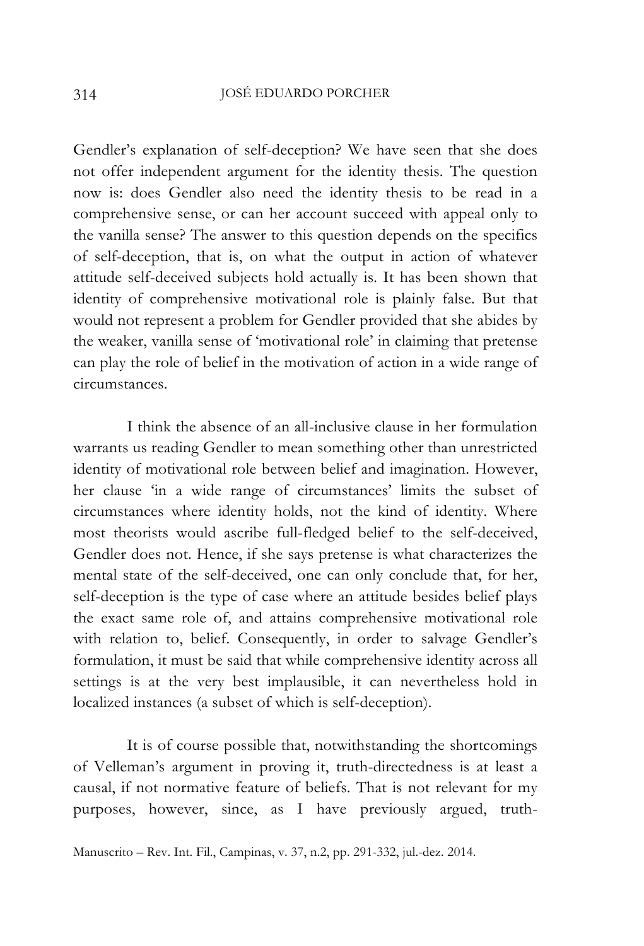Gendler's explanation of self-deception? We have seen that she does not offer independent argument for the identity thesis. The question now is: does Gendler also need the identity thesis to be read in a comprehensive sense, or can her account succeed with appeal only to the vanilla sense? The answer to this question depends on the specifics of self-deception, that is, on what the output in action of whatever attitude self-deceived subjects hold actually is. It has been shown that identity of comprehensive motivational role is plainly false. But that would not represent a problem for Gendler provided that she abides by the weaker, vanilla sense of 'motivational role' in claiming that pretense can play the role of belief in the motivation of action in a wide range of circumstances.

I think the absence of an all-inclusive clause in her formulation warrants us reading Gendler to mean something other than unrestricted identity of motivational role between belief and imagination. However, her clause 'in a wide range of circumstances' limits the subset of circumstances where identity holds, not the kind of identity. Where most theorists would ascribe full-fledged belief to the self-deceived, Gendler does not. Hence, if she says pretense is what characterizes the mental state of the self-deceived, one can only conclude that, for her, self-deception is the type of case where an attitude besides belief plays the exact same role of, and attains comprehensive motivational role with relation to, belief. Consequently, in order to salvage Gendler's formulation, it must be said that while comprehensive identity across all settings is at the very best implausible, it can nevertheless hold in localized instances (a subset of which is self-deception).

It is of course possible that, notwithstanding the shortcomings of Velleman's argument in proving it, truth-directedness is at least a causal, if not normative feature of beliefs. That is not relevant for my purposes, however, since, as I have previously argued, truth-

Manuscrito – Rev. Int. Fil., Campinas, v. 37, n.2, pp. 291-332, jul.-dez. 2014.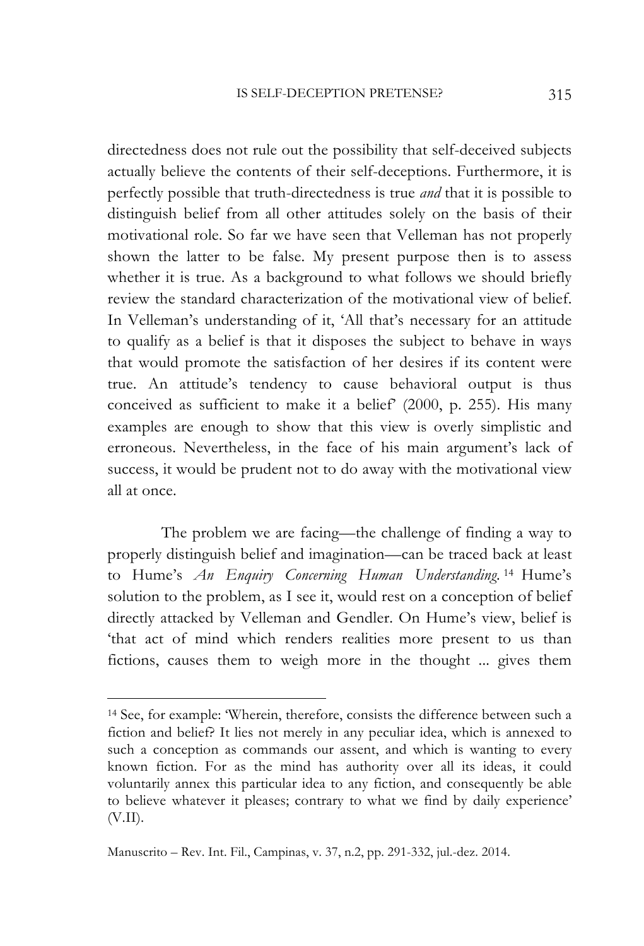directedness does not rule out the possibility that self-deceived subjects actually believe the contents of their self-deceptions. Furthermore, it is perfectly possible that truth-directedness is true *and* that it is possible to distinguish belief from all other attitudes solely on the basis of their motivational role. So far we have seen that Velleman has not properly shown the latter to be false. My present purpose then is to assess whether it is true. As a background to what follows we should briefly review the standard characterization of the motivational view of belief. In Velleman's understanding of it, 'All that's necessary for an attitude to qualify as a belief is that it disposes the subject to behave in ways that would promote the satisfaction of her desires if its content were true. An attitude's tendency to cause behavioral output is thus conceived as sufficient to make it a belief' (2000, p. 255). His many examples are enough to show that this view is overly simplistic and erroneous. Nevertheless, in the face of his main argument's lack of success, it would be prudent not to do away with the motivational view all at once.

The problem we are facing—the challenge of finding a way to properly distinguish belief and imagination—can be traced back at least to Hume's *An Enquiry Concerning Human Understanding*. <sup>14</sup> Hume's solution to the problem, as I see it, would rest on a conception of belief directly attacked by Velleman and Gendler. On Hume's view, belief is 'that act of mind which renders realities more present to us than fictions, causes them to weigh more in the thought ... gives them

<sup>14</sup> See, for example: 'Wherein, therefore, consists the difference between such a fiction and belief? It lies not merely in any peculiar idea, which is annexed to such a conception as commands our assent, and which is wanting to every known fiction. For as the mind has authority over all its ideas, it could voluntarily annex this particular idea to any fiction, and consequently be able to believe whatever it pleases; contrary to what we find by daily experience' (V.II).

Manuscrito – Rev. Int. Fil., Campinas, v. 37, n.2, pp. 291-332, jul.-dez. 2014.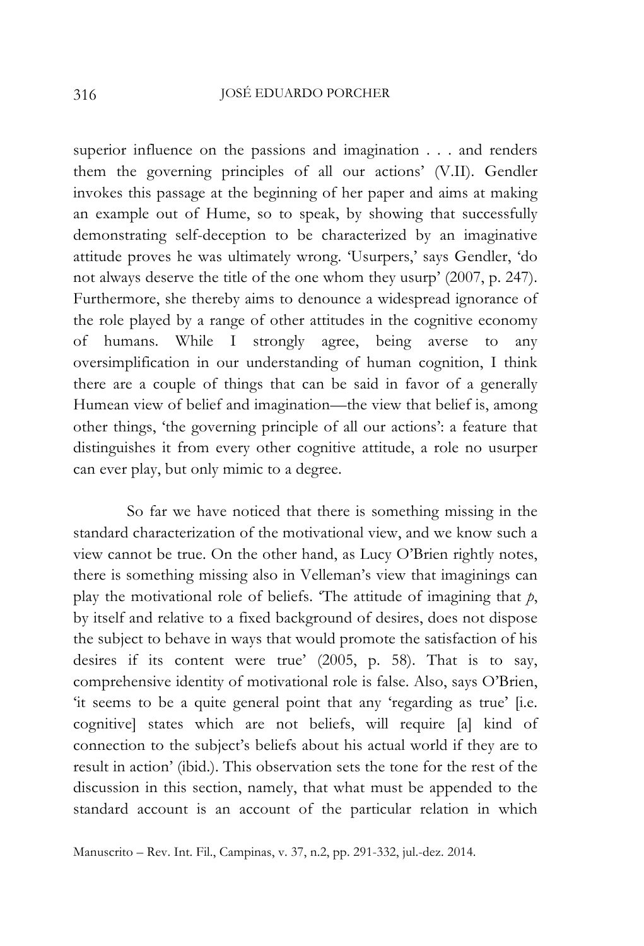superior influence on the passions and imagination . . . and renders them the governing principles of all our actions' (V.II). Gendler invokes this passage at the beginning of her paper and aims at making an example out of Hume, so to speak, by showing that successfully demonstrating self-deception to be characterized by an imaginative attitude proves he was ultimately wrong. 'Usurpers,' says Gendler, 'do not always deserve the title of the one whom they usurp' (2007, p. 247). Furthermore, she thereby aims to denounce a widespread ignorance of the role played by a range of other attitudes in the cognitive economy of humans. While I strongly agree, being averse to any oversimplification in our understanding of human cognition, I think there are a couple of things that can be said in favor of a generally Humean view of belief and imagination—the view that belief is, among other things, 'the governing principle of all our actions': a feature that distinguishes it from every other cognitive attitude, a role no usurper can ever play, but only mimic to a degree.

So far we have noticed that there is something missing in the standard characterization of the motivational view, and we know such a view cannot be true. On the other hand, as Lucy O'Brien rightly notes, there is something missing also in Velleman's view that imaginings can play the motivational role of beliefs. 'The attitude of imagining that *p*, by itself and relative to a fixed background of desires, does not dispose the subject to behave in ways that would promote the satisfaction of his desires if its content were true' (2005, p. 58). That is to say, comprehensive identity of motivational role is false. Also, says O'Brien, 'it seems to be a quite general point that any 'regarding as true' [i.e. cognitive] states which are not beliefs, will require [a] kind of connection to the subject's beliefs about his actual world if they are to result in action' (ibid.). This observation sets the tone for the rest of the discussion in this section, namely, that what must be appended to the standard account is an account of the particular relation in which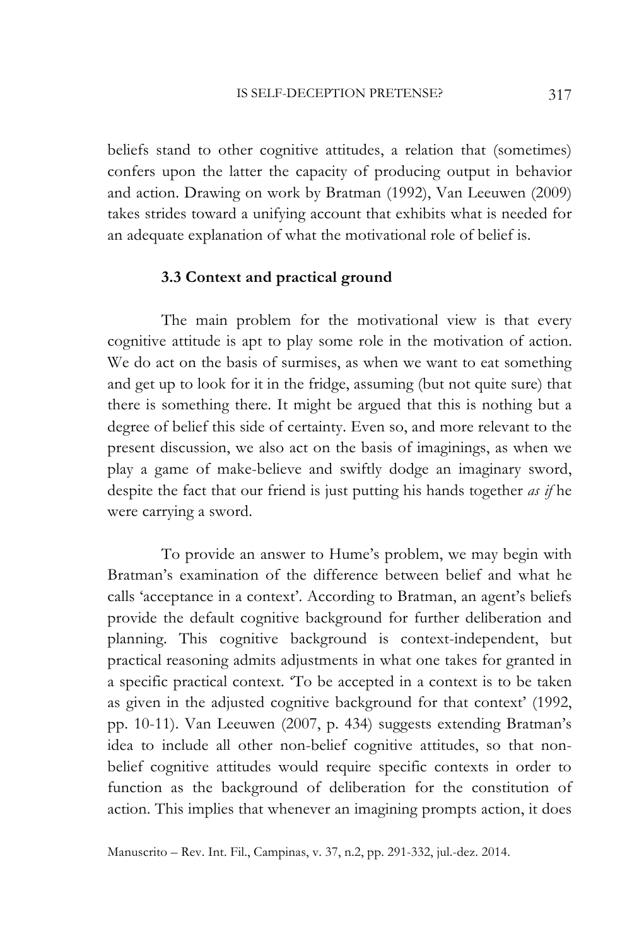beliefs stand to other cognitive attitudes, a relation that (sometimes) confers upon the latter the capacity of producing output in behavior and action. Drawing on work by Bratman (1992), Van Leeuwen (2009) takes strides toward a unifying account that exhibits what is needed for an adequate explanation of what the motivational role of belief is.

### **3.3 Context and practical ground**

The main problem for the motivational view is that every cognitive attitude is apt to play some role in the motivation of action. We do act on the basis of surmises, as when we want to eat something and get up to look for it in the fridge, assuming (but not quite sure) that there is something there. It might be argued that this is nothing but a degree of belief this side of certainty. Even so, and more relevant to the present discussion, we also act on the basis of imaginings, as when we play a game of make-believe and swiftly dodge an imaginary sword, despite the fact that our friend is just putting his hands together *as if* he were carrying a sword.

To provide an answer to Hume's problem, we may begin with Bratman's examination of the difference between belief and what he calls 'acceptance in a context'. According to Bratman, an agent's beliefs provide the default cognitive background for further deliberation and planning. This cognitive background is context-independent, but practical reasoning admits adjustments in what one takes for granted in a specific practical context. 'To be accepted in a context is to be taken as given in the adjusted cognitive background for that context' (1992, pp. 10-11). Van Leeuwen (2007, p. 434) suggests extending Bratman's idea to include all other non-belief cognitive attitudes, so that nonbelief cognitive attitudes would require specific contexts in order to function as the background of deliberation for the constitution of action. This implies that whenever an imagining prompts action, it does

Manuscrito – Rev. Int. Fil., Campinas, v. 37, n.2, pp. 291-332, jul.-dez. 2014.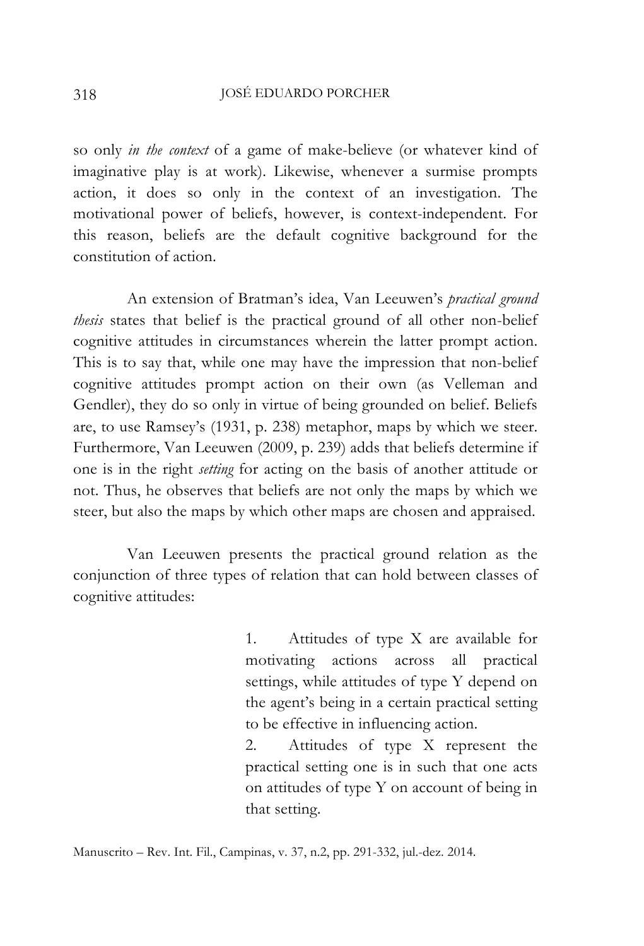so only *in the context* of a game of make-believe (or whatever kind of imaginative play is at work). Likewise, whenever a surmise prompts action, it does so only in the context of an investigation. The motivational power of beliefs, however, is context-independent. For this reason, beliefs are the default cognitive background for the constitution of action.

An extension of Bratman's idea, Van Leeuwen's *practical ground thesis* states that belief is the practical ground of all other non-belief cognitive attitudes in circumstances wherein the latter prompt action. This is to say that, while one may have the impression that non-belief cognitive attitudes prompt action on their own (as Velleman and Gendler), they do so only in virtue of being grounded on belief. Beliefs are, to use Ramsey's (1931, p. 238) metaphor, maps by which we steer. Furthermore, Van Leeuwen (2009, p. 239) adds that beliefs determine if one is in the right *setting* for acting on the basis of another attitude or not. Thus, he observes that beliefs are not only the maps by which we steer, but also the maps by which other maps are chosen and appraised.

Van Leeuwen presents the practical ground relation as the conjunction of three types of relation that can hold between classes of cognitive attitudes:

> 1. Attitudes of type X are available for motivating actions across all practical settings, while attitudes of type Y depend on the agent's being in a certain practical setting to be effective in influencing action.

> 2. Attitudes of type X represent the practical setting one is in such that one acts on attitudes of type Y on account of being in that setting.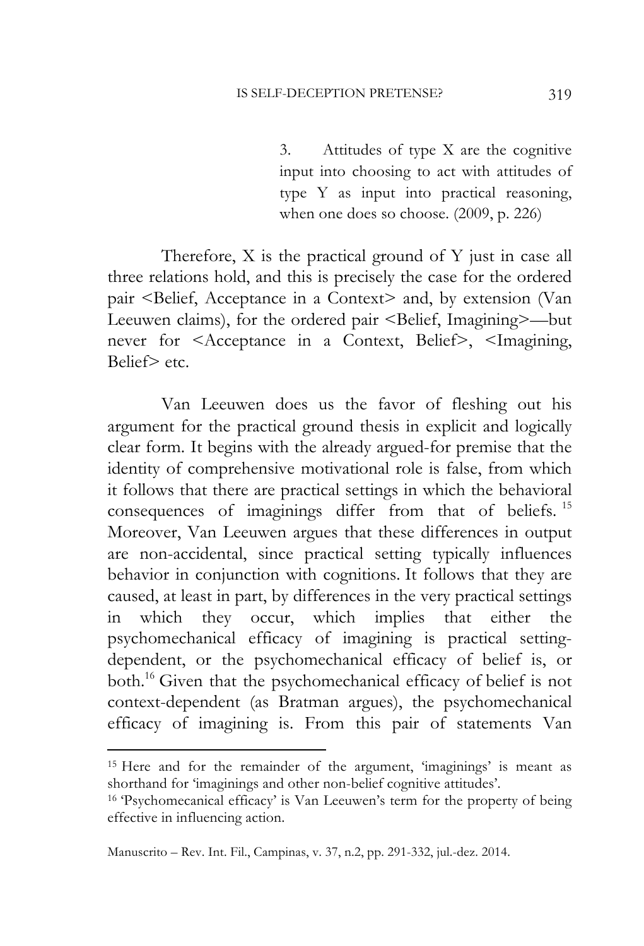3. Attitudes of type X are the cognitive input into choosing to act with attitudes of type Y as input into practical reasoning, when one does so choose. (2009, p. 226)

Therefore, X is the practical ground of Y just in case all three relations hold, and this is precisely the case for the ordered pair <Belief, Acceptance in a Context> and, by extension (Van Leeuwen claims), for the ordered pair <Belief, Imagining>—but never for <Acceptance in a Context, Belief>, <Imagining, Belief> etc.

Van Leeuwen does us the favor of fleshing out his argument for the practical ground thesis in explicit and logically clear form. It begins with the already argued-for premise that the identity of comprehensive motivational role is false, from which it follows that there are practical settings in which the behavioral consequences of imaginings differ from that of beliefs. <sup>15</sup> Moreover, Van Leeuwen argues that these differences in output are non-accidental, since practical setting typically influences behavior in conjunction with cognitions. It follows that they are caused, at least in part, by differences in the very practical settings in which they occur, which implies that either the psychomechanical efficacy of imagining is practical settingdependent, or the psychomechanical efficacy of belief is, or both.16 Given that the psychomechanical efficacy of belief is not context-dependent (as Bratman argues), the psychomechanical efficacy of imagining is. From this pair of statements Van

<sup>15</sup> Here and for the remainder of the argument, 'imaginings' is meant as shorthand for 'imaginings and other non-belief cognitive attitudes'.

<sup>16</sup> 'Psychomecanical efficacy' is Van Leeuwen's term for the property of being effective in influencing action.

Manuscrito – Rev. Int. Fil., Campinas, v. 37, n.2, pp. 291-332, jul.-dez. 2014.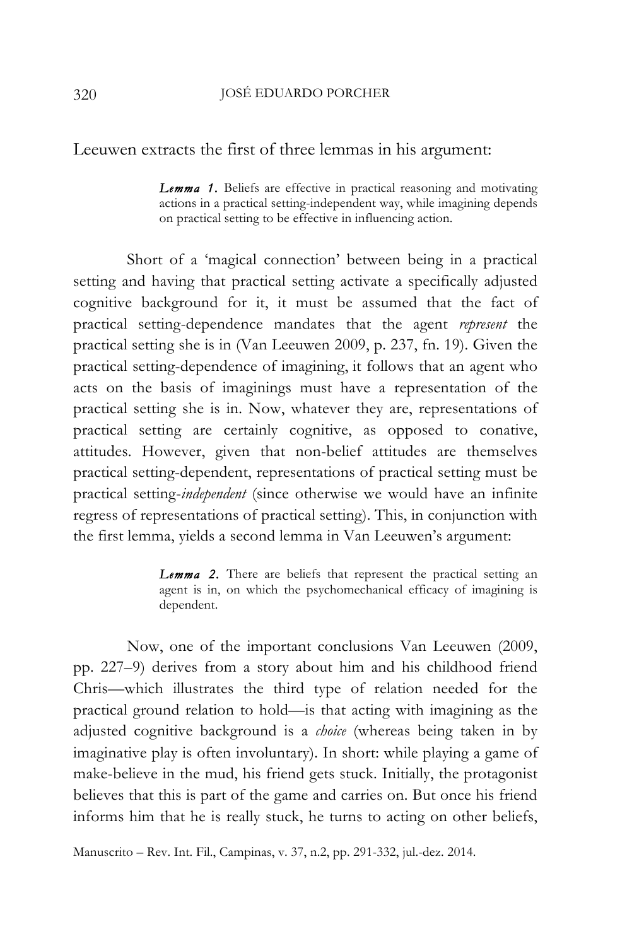# Leeuwen extracts the first of three lemmas in his argument:

Lemma 1. Beliefs are effective in practical reasoning and motivating actions in a practical setting-independent way, while imagining depends on practical setting to be effective in influencing action.

Short of a 'magical connection' between being in a practical setting and having that practical setting activate a specifically adjusted cognitive background for it, it must be assumed that the fact of practical setting-dependence mandates that the agent *represent* the practical setting she is in (Van Leeuwen 2009, p. 237, fn. 19). Given the practical setting-dependence of imagining, it follows that an agent who acts on the basis of imaginings must have a representation of the practical setting she is in. Now, whatever they are, representations of practical setting are certainly cognitive, as opposed to conative, attitudes. However, given that non-belief attitudes are themselves practical setting-dependent, representations of practical setting must be practical setting-*independent* (since otherwise we would have an infinite regress of representations of practical setting). This, in conjunction with the first lemma, yields a second lemma in Van Leeuwen's argument:

> Lemma 2. There are beliefs that represent the practical setting an agent is in, on which the psychomechanical efficacy of imagining is dependent.

Now, one of the important conclusions Van Leeuwen (2009, pp. 227–9) derives from a story about him and his childhood friend Chris—which illustrates the third type of relation needed for the practical ground relation to hold—is that acting with imagining as the adjusted cognitive background is a *choice* (whereas being taken in by imaginative play is often involuntary). In short: while playing a game of make-believe in the mud, his friend gets stuck. Initially, the protagonist believes that this is part of the game and carries on. But once his friend informs him that he is really stuck, he turns to acting on other beliefs,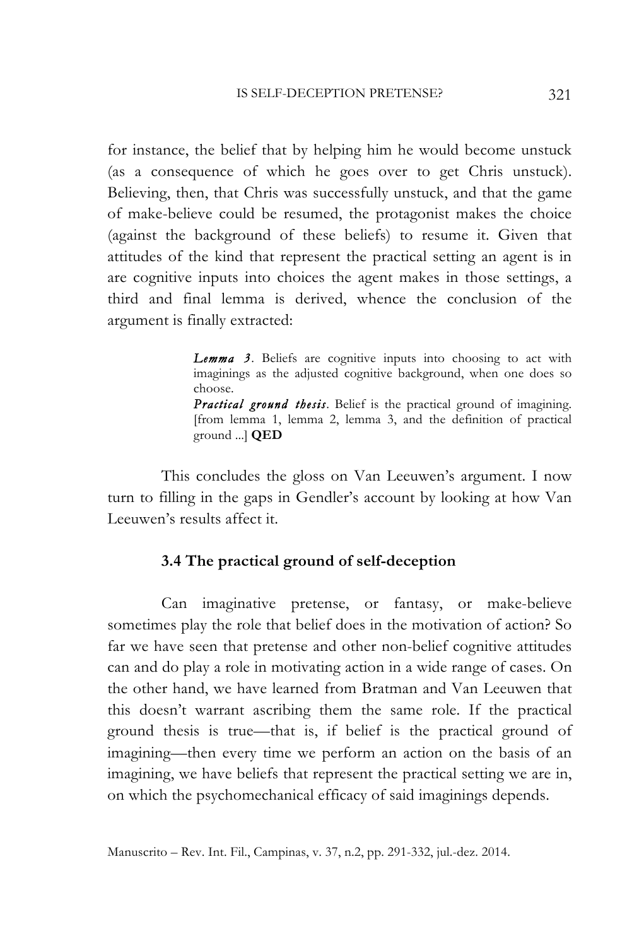for instance, the belief that by helping him he would become unstuck (as a consequence of which he goes over to get Chris unstuck). Believing, then, that Chris was successfully unstuck, and that the game of make-believe could be resumed, the protagonist makes the choice (against the background of these beliefs) to resume it. Given that attitudes of the kind that represent the practical setting an agent is in are cognitive inputs into choices the agent makes in those settings, a third and final lemma is derived, whence the conclusion of the argument is finally extracted:

> *Lemma 3*. Beliefs are cognitive inputs into choosing to act with imaginings as the adjusted cognitive background, when one does so choose.

> *Practical ground thesis*. Belief is the practical ground of imagining. [from lemma 1, lemma 2, lemma 3, and the definition of practical ground ...] **QED**

This concludes the gloss on Van Leeuwen's argument. I now turn to filling in the gaps in Gendler's account by looking at how Van Leeuwen's results affect it.

### **3.4 The practical ground of self-deception**

Can imaginative pretense, or fantasy, or make-believe sometimes play the role that belief does in the motivation of action? So far we have seen that pretense and other non-belief cognitive attitudes can and do play a role in motivating action in a wide range of cases. On the other hand, we have learned from Bratman and Van Leeuwen that this doesn't warrant ascribing them the same role. If the practical ground thesis is true—that is, if belief is the practical ground of imagining—then every time we perform an action on the basis of an imagining, we have beliefs that represent the practical setting we are in, on which the psychomechanical efficacy of said imaginings depends.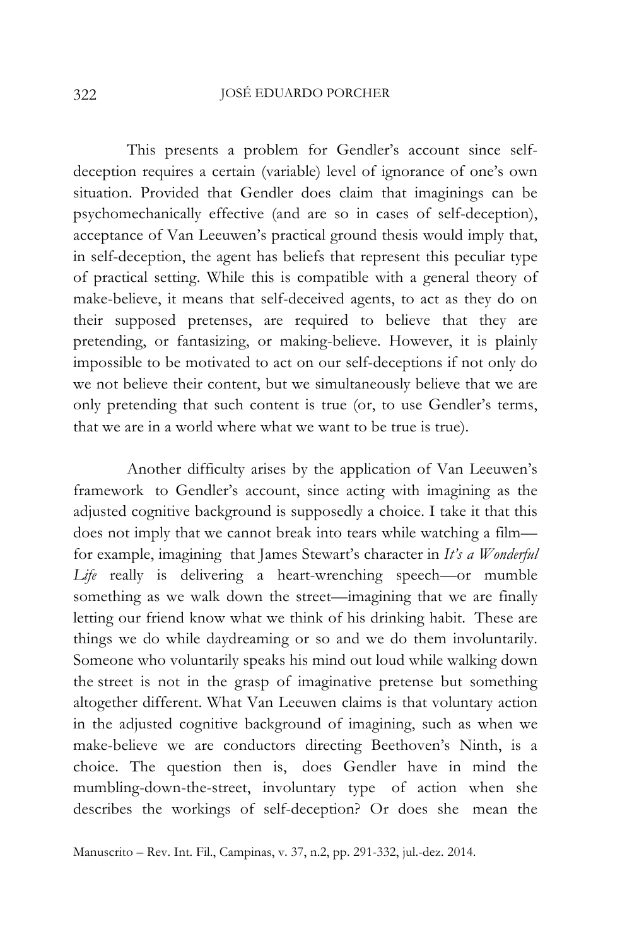### JOSÉ EDUARDO PORCHER

This presents a problem for Gendler's account since selfdeception requires a certain (variable) level of ignorance of one's own situation. Provided that Gendler does claim that imaginings can be psychomechanically effective (and are so in cases of self-deception), acceptance of Van Leeuwen's practical ground thesis would imply that, in self-deception, the agent has beliefs that represent this peculiar type of practical setting. While this is compatible with a general theory of make-believe, it means that self-deceived agents, to act as they do on their supposed pretenses, are required to believe that they are pretending, or fantasizing, or making-believe. However, it is plainly impossible to be motivated to act on our self-deceptions if not only do we not believe their content, but we simultaneously believe that we are only pretending that such content is true (or, to use Gendler's terms, that we are in a world where what we want to be true is true).

Another difficulty arises by the application of Van Leeuwen's framework to Gendler's account, since acting with imagining as the adjusted cognitive background is supposedly a choice. I take it that this does not imply that we cannot break into tears while watching a film for example, imagining that James Stewart's character in *It's a Wonderful Life* really is delivering a heart-wrenching speech—or mumble something as we walk down the street—imagining that we are finally letting our friend know what we think of his drinking habit. These are things we do while daydreaming or so and we do them involuntarily. Someone who voluntarily speaks his mind out loud while walking down the street is not in the grasp of imaginative pretense but something altogether different. What Van Leeuwen claims is that voluntary action in the adjusted cognitive background of imagining, such as when we make-believe we are conductors directing Beethoven's Ninth, is a choice. The question then is, does Gendler have in mind the mumbling-down-the-street, involuntary type of action when she describes the workings of self-deception? Or does she mean the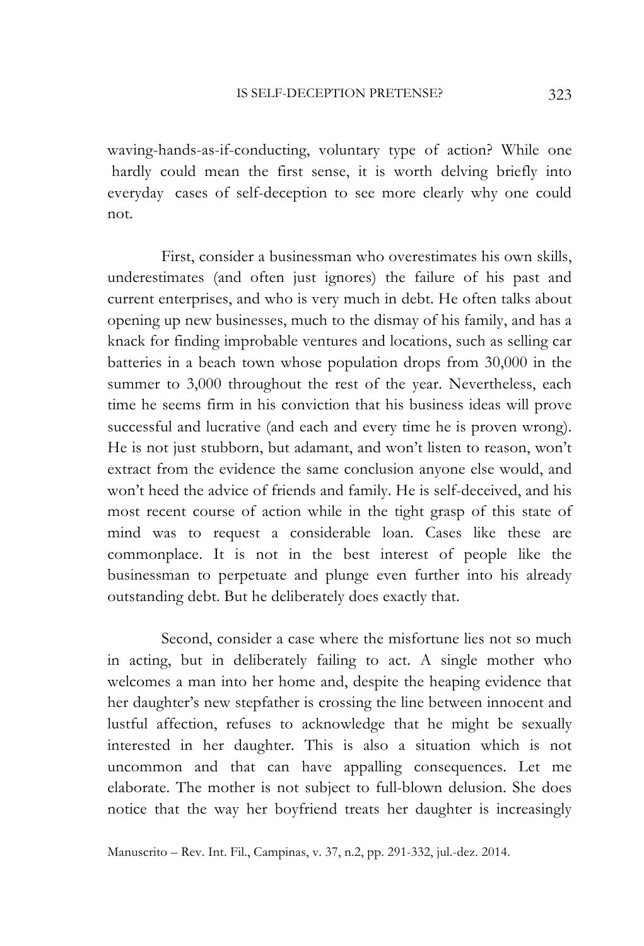waving-hands-as-if-conducting, voluntary type of action? While one hardly could mean the first sense, it is worth delving briefly into everyday cases of self-deception to see more clearly why one could not.

First, consider a businessman who overestimates his own skills, underestimates (and often just ignores) the failure of his past and current enterprises, and who is very much in debt. He often talks about opening up new businesses, much to the dismay of his family, and has a knack for finding improbable ventures and locations, such as selling car batteries in a beach town whose population drops from 30,000 in the summer to 3,000 throughout the rest of the year. Nevertheless, each time he seems firm in his conviction that his business ideas will prove successful and lucrative (and each and every time he is proven wrong). He is not just stubborn, but adamant, and won't listen to reason, won't extract from the evidence the same conclusion anyone else would, and won't heed the advice of friends and family. He is self-deceived, and his most recent course of action while in the tight grasp of this state of mind was to request a considerable loan. Cases like these are commonplace. It is not in the best interest of people like the businessman to perpetuate and plunge even further into his already outstanding debt. But he deliberately does exactly that.

Second, consider a case where the misfortune lies not so much in acting, but in deliberately failing to act. A single mother who welcomes a man into her home and, despite the heaping evidence that her daughter's new stepfather is crossing the line between innocent and lustful affection, refuses to acknowledge that he might be sexually interested in her daughter. This is also a situation which is not uncommon and that can have appalling consequences. Let me elaborate. The mother is not subject to full-blown delusion. She does notice that the way her boyfriend treats her daughter is increasingly

Manuscrito – Rev. Int. Fil., Campinas, v. 37, n.2, pp. 291-332, jul.-dez. 2014.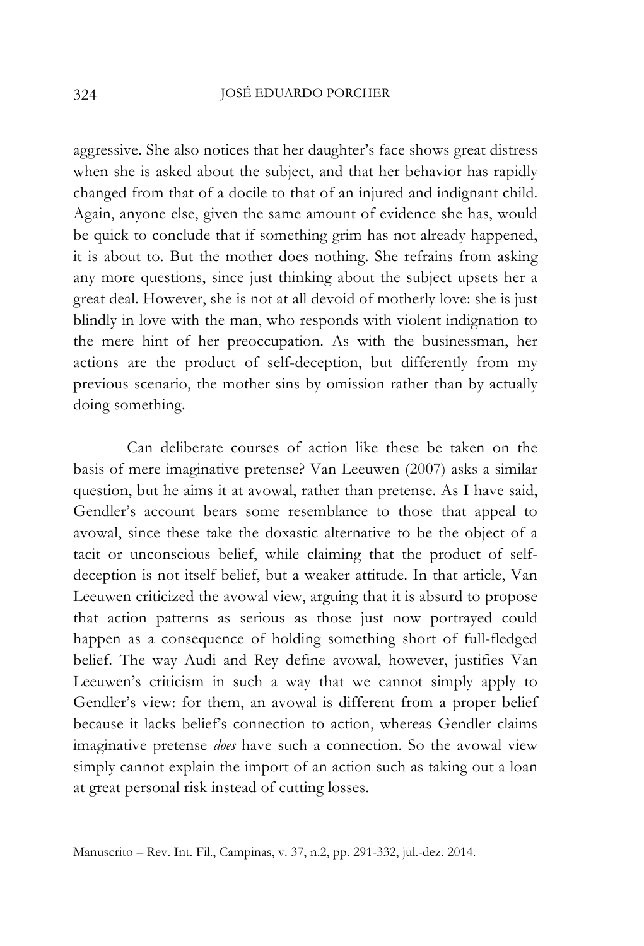aggressive. She also notices that her daughter's face shows great distress when she is asked about the subject, and that her behavior has rapidly changed from that of a docile to that of an injured and indignant child. Again, anyone else, given the same amount of evidence she has, would be quick to conclude that if something grim has not already happened, it is about to. But the mother does nothing. She refrains from asking any more questions, since just thinking about the subject upsets her a great deal. However, she is not at all devoid of motherly love: she is just blindly in love with the man, who responds with violent indignation to the mere hint of her preoccupation. As with the businessman, her actions are the product of self-deception, but differently from my previous scenario, the mother sins by omission rather than by actually doing something.

Can deliberate courses of action like these be taken on the basis of mere imaginative pretense? Van Leeuwen (2007) asks a similar question, but he aims it at avowal, rather than pretense. As I have said, Gendler's account bears some resemblance to those that appeal to avowal, since these take the doxastic alternative to be the object of a tacit or unconscious belief, while claiming that the product of selfdeception is not itself belief, but a weaker attitude. In that article, Van Leeuwen criticized the avowal view, arguing that it is absurd to propose that action patterns as serious as those just now portrayed could happen as a consequence of holding something short of full-fledged belief. The way Audi and Rey define avowal, however, justifies Van Leeuwen's criticism in such a way that we cannot simply apply to Gendler's view: for them, an avowal is different from a proper belief because it lacks belief's connection to action, whereas Gendler claims imaginative pretense *does* have such a connection. So the avowal view simply cannot explain the import of an action such as taking out a loan at great personal risk instead of cutting losses.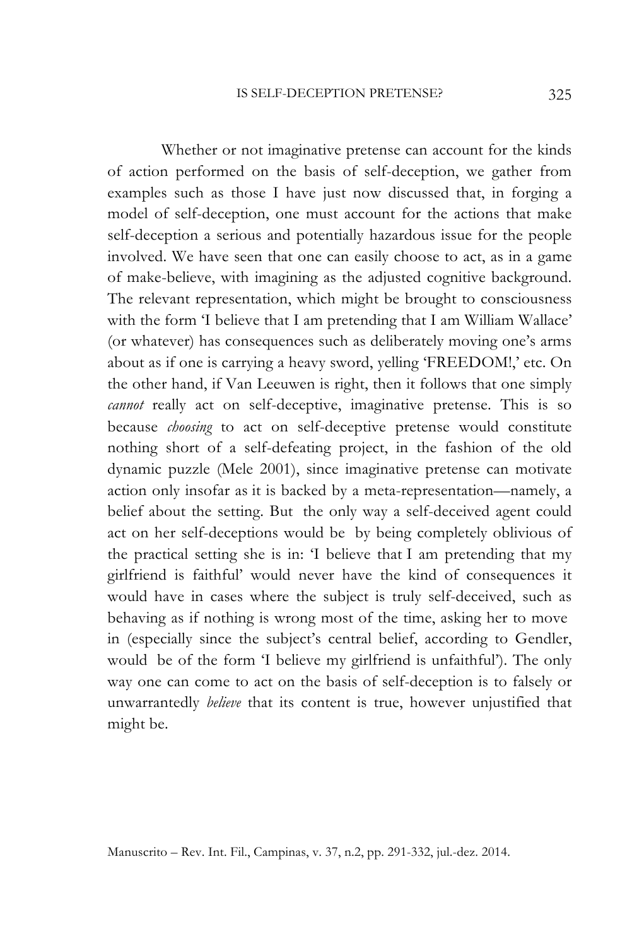Whether or not imaginative pretense can account for the kinds of action performed on the basis of self-deception, we gather from examples such as those I have just now discussed that, in forging a model of self-deception, one must account for the actions that make self-deception a serious and potentially hazardous issue for the people involved. We have seen that one can easily choose to act, as in a game of make-believe, with imagining as the adjusted cognitive background. The relevant representation, which might be brought to consciousness with the form 'I believe that I am pretending that I am William Wallace' (or whatever) has consequences such as deliberately moving one's arms about as if one is carrying a heavy sword, yelling 'FREEDOM!,' etc. On the other hand, if Van Leeuwen is right, then it follows that one simply *cannot* really act on self-deceptive, imaginative pretense. This is so because *choosing* to act on self-deceptive pretense would constitute nothing short of a self-defeating project, in the fashion of the old dynamic puzzle (Mele 2001), since imaginative pretense can motivate action only insofar as it is backed by a meta-representation—namely, a belief about the setting. But the only way a self-deceived agent could act on her self-deceptions would be by being completely oblivious of the practical setting she is in: 'I believe that I am pretending that my girlfriend is faithful' would never have the kind of consequences it would have in cases where the subject is truly self-deceived, such as behaving as if nothing is wrong most of the time, asking her to move in (especially since the subject's central belief, according to Gendler, would be of the form 'I believe my girlfriend is unfaithful'). The only way one can come to act on the basis of self-deception is to falsely or unwarrantedly *believe* that its content is true, however unjustified that might be.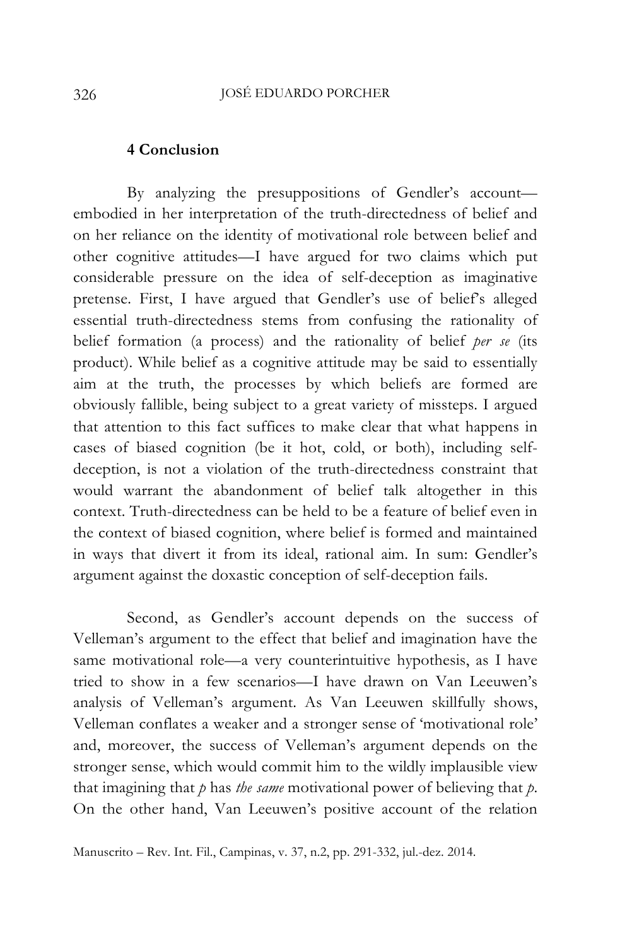### **4 Conclusion**

By analyzing the presuppositions of Gendler's account embodied in her interpretation of the truth-directedness of belief and on her reliance on the identity of motivational role between belief and other cognitive attitudes—I have argued for two claims which put considerable pressure on the idea of self-deception as imaginative pretense. First, I have argued that Gendler's use of belief's alleged essential truth-directedness stems from confusing the rationality of belief formation (a process) and the rationality of belief *per se* (its product). While belief as a cognitive attitude may be said to essentially aim at the truth, the processes by which beliefs are formed are obviously fallible, being subject to a great variety of missteps. I argued that attention to this fact suffices to make clear that what happens in cases of biased cognition (be it hot, cold, or both), including selfdeception, is not a violation of the truth-directedness constraint that would warrant the abandonment of belief talk altogether in this context. Truth-directedness can be held to be a feature of belief even in the context of biased cognition, where belief is formed and maintained in ways that divert it from its ideal, rational aim. In sum: Gendler's argument against the doxastic conception of self-deception fails.

Second, as Gendler's account depends on the success of Velleman's argument to the effect that belief and imagination have the same motivational role—a very counterintuitive hypothesis, as I have tried to show in a few scenarios—I have drawn on Van Leeuwen's analysis of Velleman's argument. As Van Leeuwen skillfully shows, Velleman conflates a weaker and a stronger sense of 'motivational role' and, moreover, the success of Velleman's argument depends on the stronger sense, which would commit him to the wildly implausible view that imagining that *p* has *the same* motivational power of believing that *p*. On the other hand, Van Leeuwen's positive account of the relation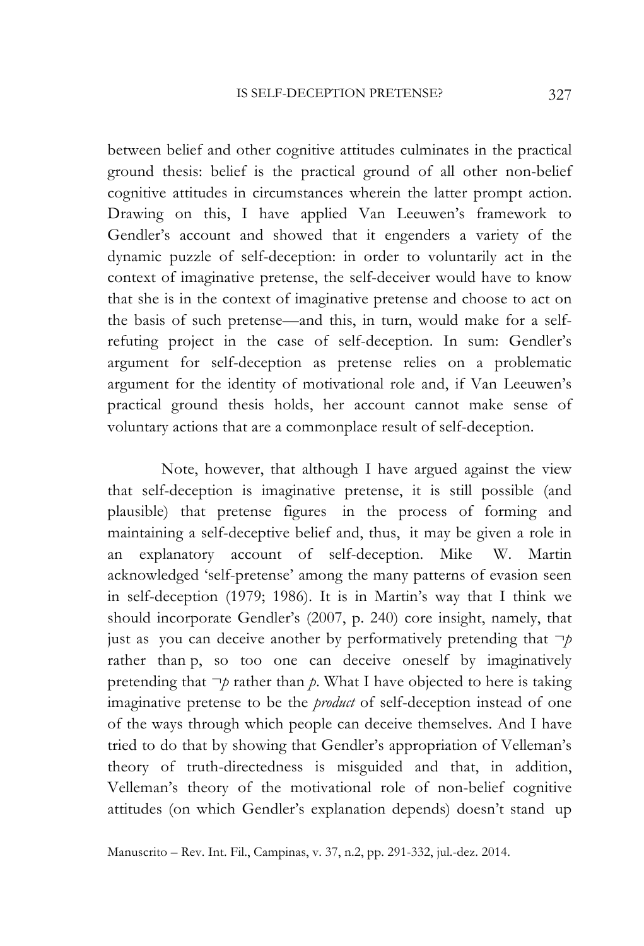between belief and other cognitive attitudes culminates in the practical ground thesis: belief is the practical ground of all other non-belief cognitive attitudes in circumstances wherein the latter prompt action. Drawing on this, I have applied Van Leeuwen's framework to Gendler's account and showed that it engenders a variety of the dynamic puzzle of self-deception: in order to voluntarily act in the context of imaginative pretense, the self-deceiver would have to know that she is in the context of imaginative pretense and choose to act on the basis of such pretense—and this, in turn, would make for a selfrefuting project in the case of self-deception. In sum: Gendler's argument for self-deception as pretense relies on a problematic argument for the identity of motivational role and, if Van Leeuwen's practical ground thesis holds, her account cannot make sense of voluntary actions that are a commonplace result of self-deception.

Note, however, that although I have argued against the view that self-deception is imaginative pretense, it is still possible (and plausible) that pretense figures in the process of forming and maintaining a self-deceptive belief and, thus, it may be given a role in an explanatory account of self-deception. Mike W. Martin acknowledged 'self-pretense' among the many patterns of evasion seen in self-deception (1979; 1986). It is in Martin's way that I think we should incorporate Gendler's (2007, p. 240) core insight, namely, that just as you can deceive another by performatively pretending that  $\neg p$ rather than p, so too one can deceive oneself by imaginatively pretending that  $\neg p$  rather than p. What I have objected to here is taking imaginative pretense to be the *product* of self-deception instead of one of the ways through which people can deceive themselves. And I have tried to do that by showing that Gendler's appropriation of Velleman's theory of truth-directedness is misguided and that, in addition, Velleman's theory of the motivational role of non-belief cognitive attitudes (on which Gendler's explanation depends) doesn't stand up

Manuscrito – Rev. Int. Fil., Campinas, v. 37, n.2, pp. 291-332, jul.-dez. 2014.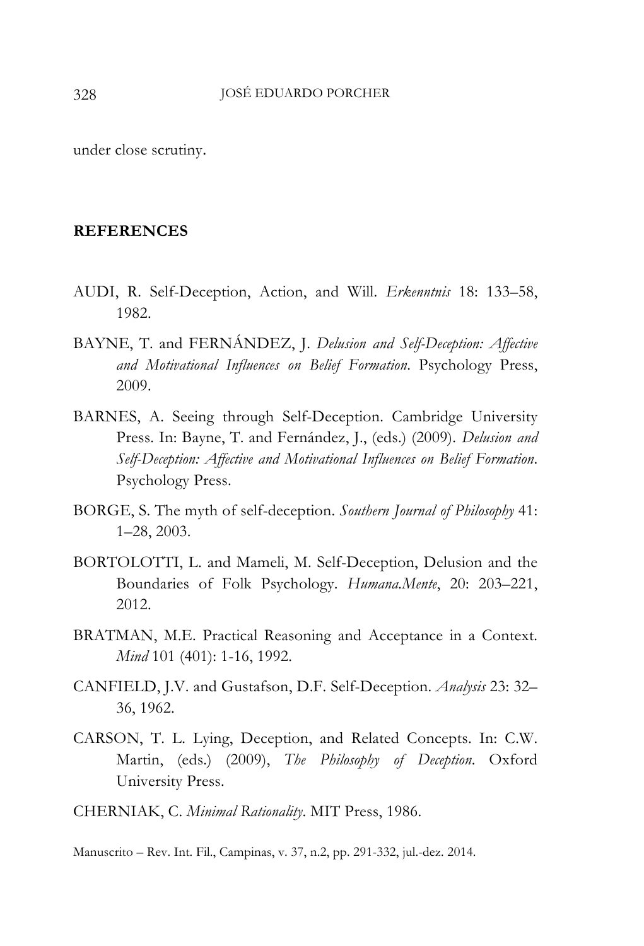under close scrutiny.

### **REFERENCES**

- AUDI, R. Self-Deception, Action, and Will. *Erkenntnis* 18: 133–58, 1982.
- BAYNE, T. and FERNÁNDEZ, J. *Delusion and Self-Deception: Affective and Motivational Influences on Belief Formation*. Psychology Press, 2009.
- BARNES, A. Seeing through Self-Deception. Cambridge University Press. In: Bayne, T. and Fernández, J., (eds.) (2009). *Delusion and Self-Deception: Affective and Motivational Influences on Belief Formation*. Psychology Press.
- BORGE, S. The myth of self-deception. *Southern Journal of Philosophy* 41: 1–28, 2003.
- BORTOLOTTI, L. and Mameli, M. Self-Deception, Delusion and the Boundaries of Folk Psychology. *Humana.Mente*, 20: 203–221, 2012.
- BRATMAN, M.E. Practical Reasoning and Acceptance in a Context. *Mind* 101 (401): 1-16, 1992.
- CANFIELD, J.V. and Gustafson, D.F. Self-Deception. *Analysis* 23: 32– 36, 1962.
- CARSON, T. L. Lying, Deception, and Related Concepts. In: C.W. Martin, (eds.) (2009), *The Philosophy of Deception*. Oxford University Press.
- CHERNIAK, C. *Minimal Rationality*. MIT Press, 1986.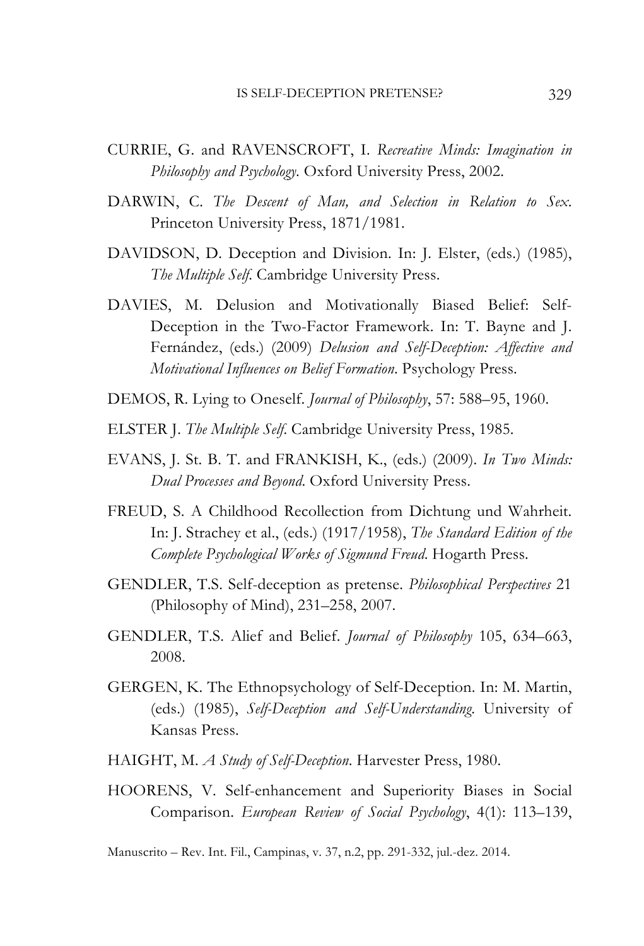- CURRIE, G. and RAVENSCROFT, I. *Recreative Minds: Imagination in Philosophy and Psychology.* Oxford University Press, 2002.
- DARWIN, C. *The Descent of Man, and Selection in Relation to Sex*. Princeton University Press, 1871/1981.
- DAVIDSON, D. Deception and Division. In: J. Elster, (eds.) (1985), *The Multiple Self*. Cambridge University Press.
- DAVIES, M. Delusion and Motivationally Biased Belief: Self-Deception in the Two-Factor Framework. In: T. Bayne and J. Fernández, (eds.) (2009) *Delusion and Self-Deception: Affective and Motivational Influences on Belief Formation*. Psychology Press.
- DEMOS, R. Lying to Oneself. *Journal of Philosophy*, 57: 588–95, 1960.
- ELSTER J. *The Multiple Self*. Cambridge University Press, 1985.
- EVANS, J. St. B. T. and FRANKISH, K., (eds.) (2009). *In Two Minds: Dual Processes and Beyond*. Oxford University Press.
- FREUD, S. A Childhood Recollection from Dichtung und Wahrheit. In: J. Strachey et al., (eds.) (1917/1958), *The Standard Edition of the Complete Psychological Works of Sigmund Freud*. Hogarth Press.
- GENDLER, T.S. Self-deception as pretense. *Philosophical Perspectives* 21 (Philosophy of Mind), 231–258, 2007.
- GENDLER, T.S. Alief and Belief. *Journal of Philosophy* 105, 634–663, 2008.
- GERGEN, K. The Ethnopsychology of Self-Deception. In: M. Martin, (eds.) (1985), *Self-Deception and Self-Understanding*. University of Kansas Press.
- HAIGHT, M. *A Study of Self-Deception*. Harvester Press, 1980.
- HOORENS, V. Self-enhancement and Superiority Biases in Social Comparison. *European Review of Social Psychology*, 4(1): 113–139,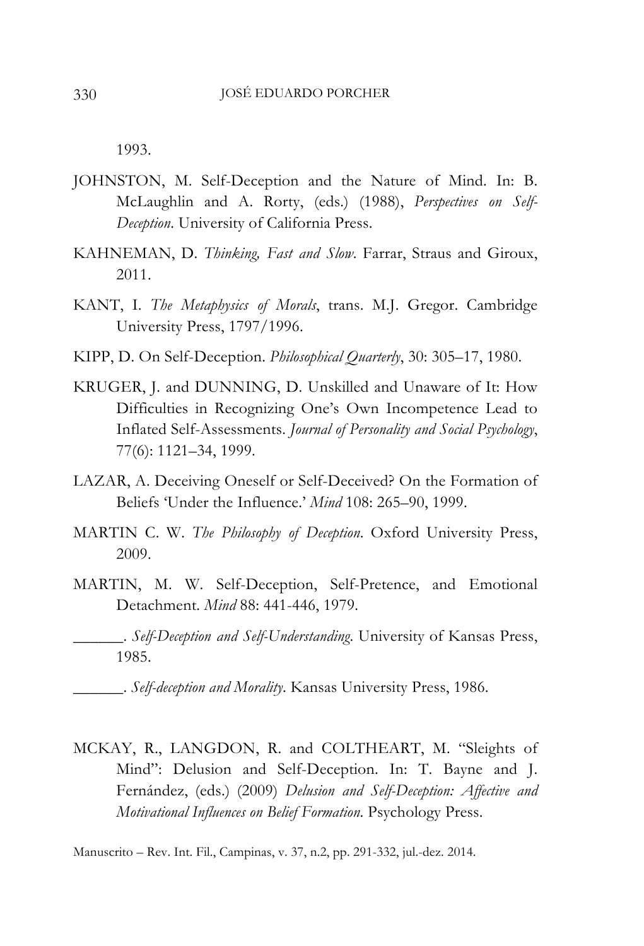1993.

- JOHNSTON, M. Self-Deception and the Nature of Mind. In: B. McLaughlin and A. Rorty, (eds.) (1988), *Perspectives on Self-Deception*. University of California Press.
- KAHNEMAN, D. *Thinking, Fast and Slow*. Farrar, Straus and Giroux, 2011.
- KANT, I. *The Metaphysics of Morals*, trans. M.J. Gregor. Cambridge University Press, 1797/1996.
- KIPP, D. On Self-Deception. *Philosophical Quarterly*, 30: 305–17, 1980.
- KRUGER, J. and DUNNING, D. Unskilled and Unaware of It: How Difficulties in Recognizing One's Own Incompetence Lead to Inflated Self-Assessments. *Journal of Personality and Social Psychology*, 77(6): 1121–34, 1999.
- LAZAR, A. Deceiving Oneself or Self-Deceived? On the Formation of Beliefs 'Under the Influence.' *Mind* 108: 265–90, 1999.
- MARTIN C. W. *The Philosophy of Deception*. Oxford University Press, 2009.
- MARTIN, M. W. Self-Deception, Self-Pretence, and Emotional Detachment. *Mind* 88: 441-446, 1979.
- \_\_\_\_\_\_. *Self-Deception and Self-Understanding*. University of Kansas Press, 1985.
	- \_\_\_\_\_\_. *Self-deception and Morality*. Kansas University Press, 1986.
- MCKAY, R., LANGDON, R. and COLTHEART, M. "Sleights of Mind": Delusion and Self-Deception. In: T. Bayne and J. Fernández, (eds.) (2009) *Delusion and Self-Deception: Affective and Motivational Influences on Belief Formation*. Psychology Press.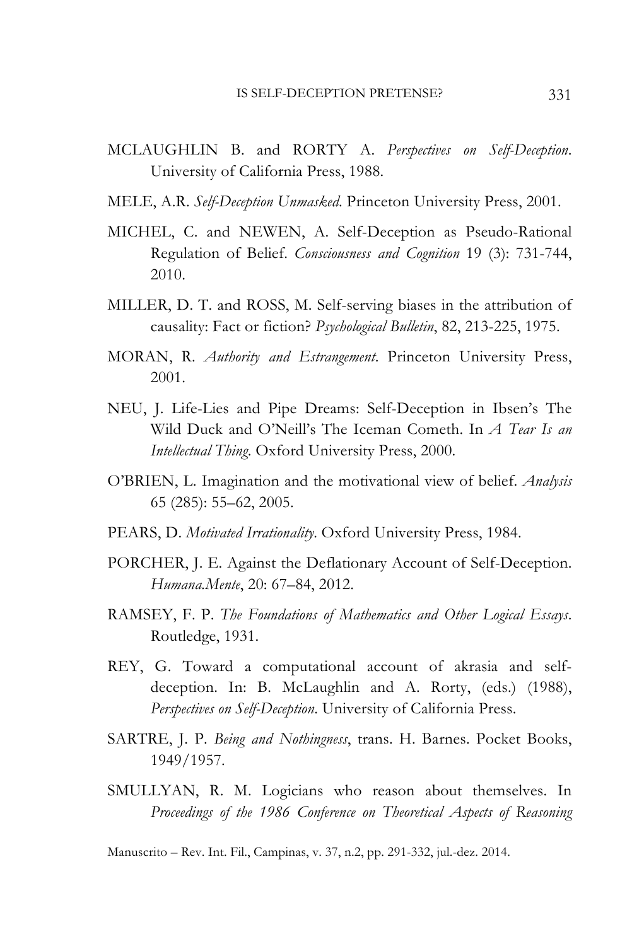- MCLAUGHLIN B. and RORTY A. *Perspectives on Self-Deception*. University of California Press, 1988.
- MELE, A.R. *Self-Deception Unmasked*. Princeton University Press, 2001.
- MICHEL, C. and NEWEN, A. Self-Deception as Pseudo-Rational Regulation of Belief. *Consciousness and Cognition* 19 (3): 731-744, 2010.
- MILLER, D. T. and ROSS, M. Self-serving biases in the attribution of causality: Fact or fiction? *Psychological Bulletin*, 82, 213-225, 1975.
- MORAN, R. *Authority and Estrangement*. Princeton University Press, 2001.
- NEU, J. Life-Lies and Pipe Dreams: Self-Deception in Ibsen's The Wild Duck and O'Neill's The Iceman Cometh. In *A Tear Is an Intellectual Thing*. Oxford University Press, 2000.
- O'BRIEN, L. Imagination and the motivational view of belief. *Analysis* 65 (285): 55–62, 2005.
- PEARS, D. *Motivated Irrationality*. Oxford University Press, 1984.
- PORCHER, J. E. Against the Deflationary Account of Self-Deception. *Humana.Mente*, 20: 67–84, 2012.
- RAMSEY, F. P. *The Foundations of Mathematics and Other Logical Essays*. Routledge, 1931.
- REY, G. Toward a computational account of akrasia and selfdeception. In: B. McLaughlin and A. Rorty, (eds.) (1988), *Perspectives on Self-Deception*. University of California Press.
- SARTRE, J. P. *Being and Nothingness*, trans. H. Barnes. Pocket Books, 1949/1957.
- SMULLYAN, R. M. Logicians who reason about themselves. In *Proceedings of the 1986 Conference on Theoretical Aspects of Reasoning*